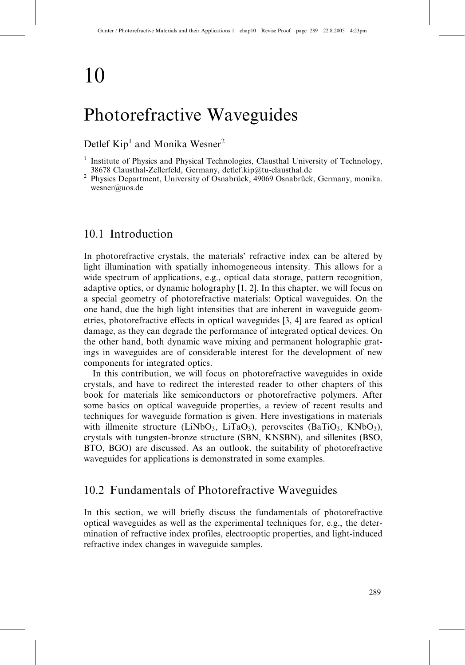# 10

## Photorefractive Waveguides

## Detlef Kip<sup>1</sup> and Monika Wesner<sup>2</sup>

## 10.1 Introduction

In photorefractive crystals, the materials' refractive index can be altered by light illumination with spatially inhomogeneous intensity. This allows for a wide spectrum of applications, e.g., optical data storage, pattern recognition, adaptive optics, or dynamic holography [1, 2]. In this chapter, we will focus on a special geometry of photorefractive materials: Optical waveguides. On the one hand, due the high light intensities that are inherent in waveguide geometries, photorefractive effects in optical waveguides [3, 4] are feared as optical damage, as they can degrade the performance of integrated optical devices. On the other hand, both dynamic wave mixing and permanent holographic gratings in waveguides are of considerable interest for the development of new components for integrated optics.

In this contribution, we will focus on photorefractive waveguides in oxide crystals, and have to redirect the interested reader to other chapters of this book for materials like semiconductors or photorefractive polymers. After some basics on optical waveguide properties, a review of recent results and techniques for waveguide formation is given. Here investigations in materials with illmenite structure (LiNbO<sub>3</sub>, LiTaO<sub>3</sub>), perovscites (BaTiO<sub>3</sub>, KNbO<sub>3</sub>), crystals with tungsten-bronze structure (SBN, KNSBN), and sillenites (BSO, BTO, BGO) are discussed. As an outlook, the suitability of photorefractive waveguides for applications is demonstrated in some examples.

## 10.2 Fundamentals of Photorefractive Waveguides

In this section, we will briefly discuss the fundamentals of photorefractive optical waveguides as well as the experimental techniques for, e.g., the determination of refractive index profiles, electrooptic properties, and light-induced refractive index changes in waveguide samples.

<sup>1</sup> Institute of Physics and Physical Technologies, Clausthal University of Technology,

<sup>38678</sup> Clausthal-Zellerfeld, Germany, detlef.kip@tu-clausthal.de<br><sup>2</sup> Physics Department, University of Osnabrück, 49069 Osnabrück, Germany, monika. wesner@uos.de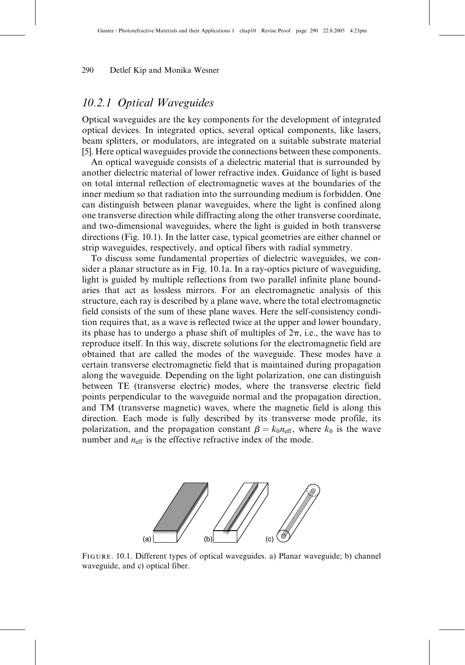## 10.2.1 Optical Waveguides

Optical waveguides are the key components for the development of integrated optical devices. In integrated optics, several optical components, like lasers, beam splitters, or modulators, are integrated on a suitable substrate material [5]. Here optical waveguides provide the connections between these components.

An optical waveguide consists of a dielectric material that is surrounded by another dielectric material of lower refractive index. Guidance of light is based on total internal reflection of electromagnetic waves at the boundaries of the inner medium so that radiation into the surrounding medium is forbidden. One can distinguish between planar waveguides, where the light is confined along one transverse direction while diffracting along the other transverse coordinate, and two-dimensional waveguides, where the light is guided in both transverse directions (Fig. 10.1). In the latter case, typical geometries are either channel or strip waveguides, respectively, and optical fibers with radial symmetry.

To discuss some fundamental properties of dielectric waveguides, we consider a planar structure as in Fig. 10.1a. In a ray-optics picture of waveguiding, light is guided by multiple reflections from two parallel infinite plane boundaries that act as lossless mirrors. For an electromagnetic analysis of this structure, each ray is described by a plane wave, where the total electromagnetic field consists of the sum of these plane waves. Here the self-consistency condition requires that, as a wave is reflected twice at the upper and lower boundary, its phase has to undergo a phase shift of multiples of  $2\pi$ , i.e., the wave has to reproduce itself. In this way, discrete solutions for the electromagnetic field are obtained that are called the modes of the waveguide. These modes have a certain transverse electromagnetic field that is maintained during propagation along the waveguide. Depending on the light polarization, one can distinguish between TE (transverse electric) modes, where the transverse electric field points perpendicular to the waveguide normal and the propagation direction, and TM (transverse magnetic) waves, where the magnetic field is along this direction. Each mode is fully described by its transverse mode profile, its polarization, and the propagation constant  $\beta = k_0 n_{\text{eff}}$ , where  $k_0$  is the wave number and  $n_{\text{eff}}$  is the effective refractive index of the mode.



Figure. 10.1. Different types of optical waveguides. a) Planar waveguide; b) channel waveguide, and c) optical fiber.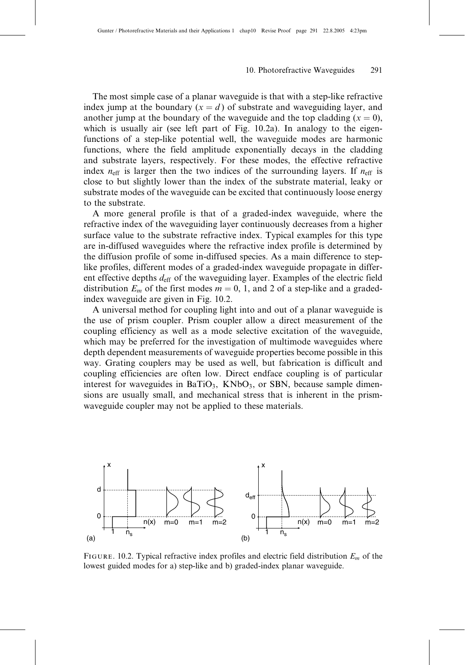The most simple case of a planar waveguide is that with a step-like refractive index jump at the boundary  $(x = d)$  of substrate and waveguiding layer, and another jump at the boundary of the waveguide and the top cladding  $(x = 0)$ , which is usually air (see left part of Fig. 10.2a). In analogy to the eigenfunctions of a step-like potential well, the waveguide modes are harmonic functions, where the field amplitude exponentially decays in the cladding and substrate layers, respectively. For these modes, the effective refractive index  $n_{\text{eff}}$  is larger then the two indices of the surrounding layers. If  $n_{\text{eff}}$  is close to but slightly lower than the index of the substrate material, leaky or substrate modes of the waveguide can be excited that continuously loose energy to the substrate.

A more general profile is that of a graded-index waveguide, where the refractive index of the waveguiding layer continuously decreases from a higher surface value to the substrate refractive index. Typical examples for this type are in-diffused waveguides where the refractive index profile is determined by the diffusion profile of some in-diffused species. As a main difference to steplike profiles, different modes of a graded-index waveguide propagate in different effective depths  $d_{\text{eff}}$  of the waveguiding layer. Examples of the electric field distribution  $E_m$  of the first modes  $m = 0, 1,$  and 2 of a step-like and a gradedindex waveguide are given in Fig. 10.2.

A universal method for coupling light into and out of a planar waveguide is the use of prism coupler. Prism coupler allow a direct measurement of the coupling efficiency as well as a mode selective excitation of the waveguide, which may be preferred for the investigation of multimode waveguides where depth dependent measurements of waveguide properties become possible in this way. Grating couplers may be used as well, but fabrication is difficult and coupling efficiencies are often low. Direct endface coupling is of particular interest for waveguides in  $BaTiO<sub>3</sub>$ , KNbO<sub>3</sub>, or SBN, because sample dimensions are usually small, and mechanical stress that is inherent in the prismwaveguide coupler may not be applied to these materials.



FIGURE. 10.2. Typical refractive index profiles and electric field distribution  $E_m$  of the lowest guided modes for a) step-like and b) graded-index planar waveguide.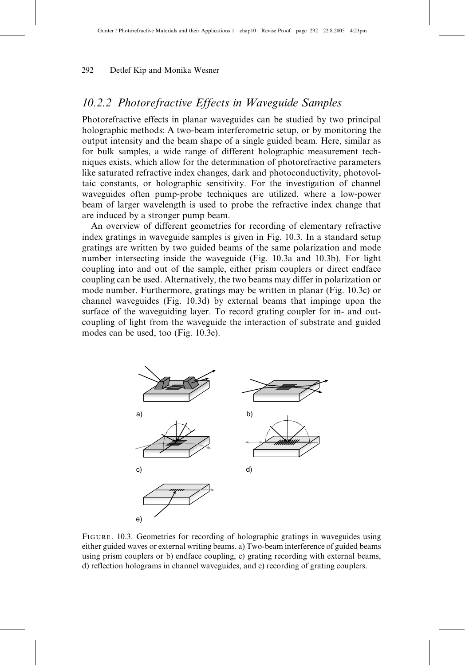## 10.2.2 Photorefractive Effects in Waveguide Samples

Photorefractive effects in planar waveguides can be studied by two principal holographic methods: A two-beam interferometric setup, or by monitoring the output intensity and the beam shape of a single guided beam. Here, similar as for bulk samples, a wide range of different holographic measurement techniques exists, which allow for the determination of photorefractive parameters like saturated refractive index changes, dark and photoconductivity, photovoltaic constants, or holographic sensitivity. For the investigation of channel waveguides often pump-probe techniques are utilized, where a low-power beam of larger wavelength is used to probe the refractive index change that are induced by a stronger pump beam.

An overview of different geometries for recording of elementary refractive index gratings in waveguide samples is given in Fig. 10.3. In a standard setup gratings are written by two guided beams of the same polarization and mode number intersecting inside the waveguide (Fig. 10.3a and 10.3b). For light coupling into and out of the sample, either prism couplers or direct endface coupling can be used. Alternatively, the two beams may differ in polarization or mode number. Furthermore, gratings may be written in planar (Fig. 10.3c) or channel waveguides (Fig. 10.3d) by external beams that impinge upon the surface of the waveguiding layer. To record grating coupler for in- and outcoupling of light from the waveguide the interaction of substrate and guided modes can be used, too (Fig. 10.3e).



Figure. 10.3. Geometries for recording of holographic gratings in waveguides using either guided waves or external writing beams. a) Two-beam interference of guided beams using prism couplers or b) endface coupling, c) grating recording with external beams, d) reflection holograms in channel waveguides, and e) recording of grating couplers.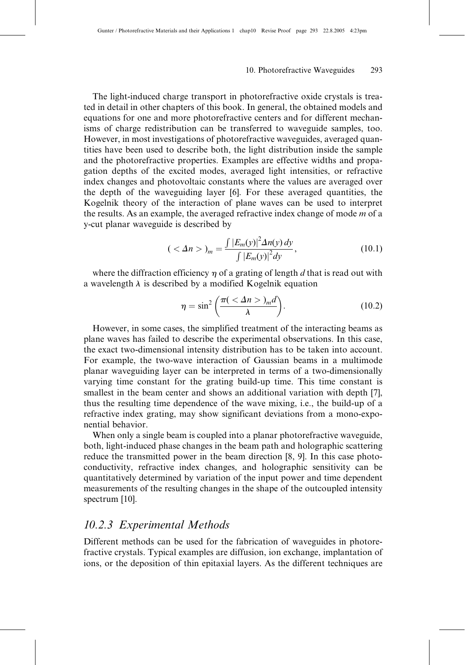The light-induced charge transport in photorefractive oxide crystals is treated in detail in other chapters of this book. In general, the obtained models and equations for one and more photorefractive centers and for different mechanisms of charge redistribution can be transferred to waveguide samples, too. However, in most investigations of photorefractive waveguides, averaged quantities have been used to describe both, the light distribution inside the sample and the photorefractive properties. Examples are effective widths and propagation depths of the excited modes, averaged light intensities, or refractive index changes and photovoltaic constants where the values are averaged over the depth of the waveguiding layer [6]. For these averaged quantities, the Kogelnik theory of the interaction of plane waves can be used to interpret the results. As an example, the averaged refractive index change of mode  $m$  of a y-cut planar waveguide is described by

$$
(\langle \Delta n \rangle)_m = \frac{\int |E_m(y)|^2 \Delta n(y) \, dy}{\int |E_m(y)|^2 \, dy},\tag{10.1}
$$

where the diffraction efficiency  $\eta$  of a grating of length d that is read out with a wavelength  $\lambda$  is described by a modified Kogelnik equation

$$
\eta = \sin^2\left(\frac{\pi(\langle \Delta n \rangle)_m d}{\lambda}\right). \tag{10.2}
$$

However, in some cases, the simplified treatment of the interacting beams as plane waves has failed to describe the experimental observations. In this case, the exact two-dimensional intensity distribution has to be taken into account. For example, the two-wave interaction of Gaussian beams in a multimode planar waveguiding layer can be interpreted in terms of a two-dimensionally varying time constant for the grating build-up time. This time constant is smallest in the beam center and shows an additional variation with depth [7], thus the resulting time dependence of the wave mixing, i.e., the build-up of a refractive index grating, may show significant deviations from a mono-exponential behavior.

When only a single beam is coupled into a planar photorefractive waveguide, both, light-induced phase changes in the beam path and holographic scattering reduce the transmitted power in the beam direction [8, 9]. In this case photoconductivity, refractive index changes, and holographic sensitivity can be quantitatively determined by variation of the input power and time dependent measurements of the resulting changes in the shape of the outcoupled intensity spectrum [10].

## 10.2.3 Experimental Methods

Different methods can be used for the fabrication of waveguides in photorefractive crystals. Typical examples are diffusion, ion exchange, implantation of ions, or the deposition of thin epitaxial layers. As the different techniques are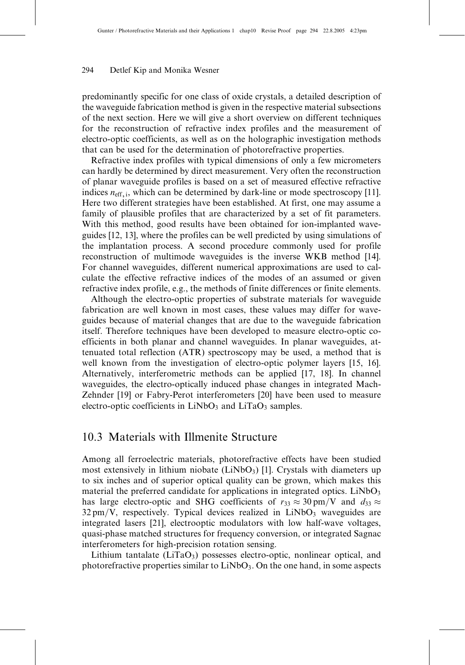predominantly specific for one class of oxide crystals, a detailed description of the waveguide fabrication method is given in the respective material subsections of the next section. Here we will give a short overview on different techniques for the reconstruction of refractive index profiles and the measurement of electro-optic coefficients, as well as on the holographic investigation methods that can be used for the determination of photorefractive properties.

Refractive index profiles with typical dimensions of only a few micrometers can hardly be determined by direct measurement. Very often the reconstruction of planar waveguide profiles is based on a set of measured effective refractive indices  $n_{\text{eff},i}$ , which can be determined by dark-line or mode spectroscopy [11]. Here two different strategies have been established. At first, one may assume a family of plausible profiles that are characterized by a set of fit parameters. With this method, good results have been obtained for ion-implanted waveguides [12, 13], where the profiles can be well predicted by using simulations of the implantation process. A second procedure commonly used for profile reconstruction of multimode waveguides is the inverse WKB method [14]. For channel waveguides, different numerical approximations are used to calculate the effective refractive indices of the modes of an assumed or given refractive index profile, e.g., the methods of finite differences or finite elements.

Although the electro-optic properties of substrate materials for waveguide fabrication are well known in most cases, these values may differ for waveguides because of material changes that are due to the waveguide fabrication itself. Therefore techniques have been developed to measure electro-optic coefficients in both planar and channel waveguides. In planar waveguides, attenuated total reflection (ATR) spectroscopy may be used, a method that is well known from the investigation of electro-optic polymer layers [15, 16]. Alternatively, interferometric methods can be applied [17, 18]. In channel waveguides, the electro-optically induced phase changes in integrated Mach-Zehnder [19] or Fabry-Perot interferometers [20] have been used to measure electro-optic coefficients in  $LiNbO<sub>3</sub>$  and  $LiTaO<sub>3</sub>$  samples.

## 10.3 Materials with Illmenite Structure

Among all ferroelectric materials, photorefractive effects have been studied most extensively in lithium niobate  $(LiNbO<sub>3</sub>)$  [1]. Crystals with diameters up to six inches and of superior optical quality can be grown, which makes this material the preferred candidate for applications in integrated optics.  $LiNbO<sub>3</sub>$ has large electro-optic and SHG coefficients of  $r_{33} \approx 30 \text{ pm/V}$  and  $d_{33} \approx$  $32 \text{ pm}/V$ , respectively. Typical devices realized in LiNbO<sub>3</sub> waveguides are integrated lasers [21], electrooptic modulators with low half-wave voltages, quasi-phase matched structures for frequency conversion, or integrated Sagnac interferometers for high-precision rotation sensing.

Lithium tantalate ( $LiTaO<sub>3</sub>$ ) possesses electro-optic, nonlinear optical, and photorefractive properties similar to  $LiNbO<sub>3</sub>$ . On the one hand, in some aspects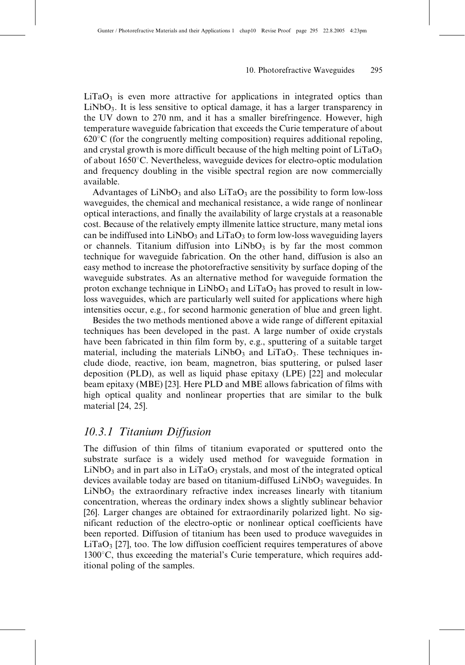$LiTaO<sub>3</sub>$  is even more attractive for applications in integrated optics than  $LiNbO<sub>3</sub>$ . It is less sensitive to optical damage, it has a larger transparency in the UV down to 270 nm, and it has a smaller birefringence. However, high temperature waveguide fabrication that exceeds the Curie temperature of about  $620^{\circ}$ C (for the congruently melting composition) requires additional repoling, and crystal growth is more difficult because of the high melting point of  $LiTaO<sub>3</sub>$ of about 1650°C. Nevertheless, waveguide devices for electro-optic modulation and frequency doubling in the visible spectral region are now commercially available.

Advantages of  $LiNbO<sub>3</sub>$  and also  $LiTaO<sub>3</sub>$  are the possibility to form low-loss waveguides, the chemical and mechanical resistance, a wide range of nonlinear optical interactions, and finally the availability of large crystals at a reasonable cost. Because of the relatively empty illmenite lattice structure, many metal ions can be indiffused into  $LiNbO<sub>3</sub>$  and  $LiTaO<sub>3</sub>$  to form low-loss waveguiding layers or channels. Titanium diffusion into  $LiNbO<sub>3</sub>$  is by far the most common technique for waveguide fabrication. On the other hand, diffusion is also an easy method to increase the photorefractive sensitivity by surface doping of the waveguide substrates. As an alternative method for waveguide formation the proton exchange technique in  $LiNbO<sub>3</sub>$  and  $LiTaO<sub>3</sub>$  has proved to result in lowloss waveguides, which are particularly well suited for applications where high intensities occur, e.g., for second harmonic generation of blue and green light.

Besides the two methods mentioned above a wide range of different epitaxial techniques has been developed in the past. A large number of oxide crystals have been fabricated in thin film form by, e.g., sputtering of a suitable target material, including the materials  $LiNbO<sub>3</sub>$  and  $LiTaO<sub>3</sub>$ . These techniques include diode, reactive, ion beam, magnetron, bias sputtering, or pulsed laser deposition (PLD), as well as liquid phase epitaxy (LPE) [22] and molecular beam epitaxy (MBE) [23]. Here PLD and MBE allows fabrication of films with high optical quality and nonlinear properties that are similar to the bulk material [24, 25].

## 10.3.1 Titanium Diffusion

The diffusion of thin films of titanium evaporated or sputtered onto the substrate surface is a widely used method for waveguide formation in  $LiNbO<sub>3</sub>$  and in part also in  $LiTaO<sub>3</sub>$  crystals, and most of the integrated optical devices available today are based on titanium-diffused  $LiNbO<sub>3</sub>$  waveguides. In  $LiNbO<sub>3</sub>$  the extraordinary refractive index increases linearly with titanium concentration, whereas the ordinary index shows a slightly sublinear behavior [26]. Larger changes are obtained for extraordinarily polarized light. No significant reduction of the electro-optic or nonlinear optical coefficients have been reported. Diffusion of titanium has been used to produce waveguides in  $LiTaO<sub>3</sub>$  [27], too. The low diffusion coefficient requires temperatures of above  $1300^{\circ}$ C, thus exceeding the material's Curie temperature, which requires additional poling of the samples.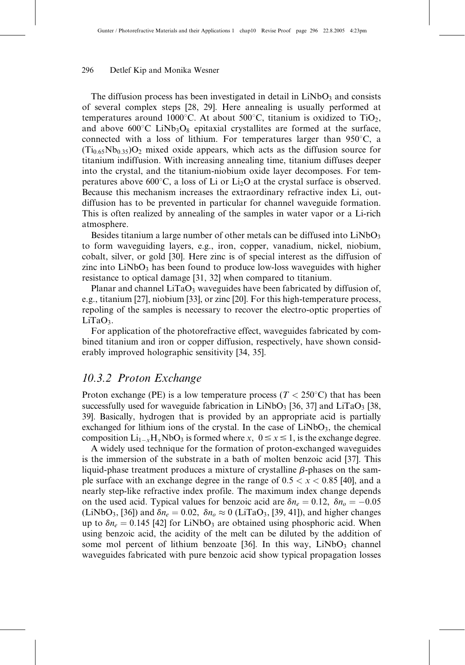The diffusion process has been investigated in detail in  $LiNbO<sub>3</sub>$  and consists of several complex steps [28, 29]. Here annealing is usually performed at temperatures around 1000°C. At about 500°C, titanium is oxidized to TiO<sub>2</sub>, and above  $600^{\circ}$ C LiNb<sub>3</sub>O<sub>8</sub> epitaxial crystallites are formed at the surface, connected with a loss of lithium. For temperatures larger than  $950^{\circ}$ C, a  $(Ti_{0.65}Nb_{0.35})O_2$  mixed oxide appears, which acts as the diffusion source for titanium indiffusion. With increasing annealing time, titanium diffuses deeper into the crystal, and the titanium-niobium oxide layer decomposes. For temperatures above 600 $^{\circ}$ C, a loss of Li or Li<sub>2</sub>O at the crystal surface is observed. Because this mechanism increases the extraordinary refractive index Li, outdiffusion has to be prevented in particular for channel waveguide formation. This is often realized by annealing of the samples in water vapor or a Li-rich atmosphere.

Besides titanium a large number of other metals can be diffused into  $LiNbO<sub>3</sub>$ to form waveguiding layers, e.g., iron, copper, vanadium, nickel, niobium, cobalt, silver, or gold [30]. Here zinc is of special interest as the diffusion of zinc into  $LiNbO<sub>3</sub>$  has been found to produce low-loss waveguides with higher resistance to optical damage [31, 32] when compared to titanium.

Planar and channel  $LiTaO_3$  waveguides have been fabricated by diffusion of, e.g., titanium [27], niobium [33], or zinc [20]. For this high-temperature process, repoling of the samples is necessary to recover the electro-optic properties of  $LiTaO<sub>3</sub>$ .

For application of the photorefractive effect, waveguides fabricated by combined titanium and iron or copper diffusion, respectively, have shown considerably improved holographic sensitivity [34, 35].

## 10.3.2 Proton Exchange

Proton exchange (PE) is a low temperature process ( $T < 250^{\circ}$ C) that has been successfully used for waveguide fabrication in LiNbO<sub>3</sub> [36, 37] and LiTaO<sub>3</sub> [38, 39]. Basically, hydrogen that is provided by an appropriate acid is partially exchanged for lithium ions of the crystal. In the case of  $LiNbO<sub>3</sub>$ , the chemical composition  $Li_{1-x}H_xNbO_3$  is formed where  $x, 0 \le x \le 1$ , is the exchange degree.

A widely used technique for the formation of proton-exchanged waveguides is the immersion of the substrate in a bath of molten benzoic acid [37]. This liquid-phase treatment produces a mixture of crystalline  $\beta$ -phases on the sample surface with an exchange degree in the range of  $0.5 < x < 0.85$  [40], and a nearly step-like refractive index profile. The maximum index change depends on the used acid. Typical values for benzoic acid are  $\delta n_e = 0.12$ ,  $\delta n_o = -0.05$ (LiNbO<sub>3</sub>, [36]) and  $\delta n_e = 0.02$ ,  $\delta n_o \approx 0$  (LiTaO<sub>3</sub>, [39, 41]), and higher changes up to  $\delta n_e = 0.145$  [42] for LiNbO<sub>3</sub> are obtained using phosphoric acid. When using benzoic acid, the acidity of the melt can be diluted by the addition of some mol percent of lithium benzoate [36]. In this way,  $LiNbO<sub>3</sub>$  channel waveguides fabricated with pure benzoic acid show typical propagation losses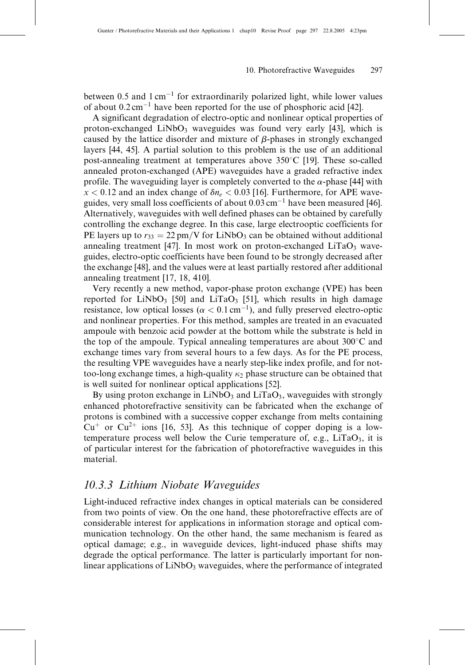between 0.5 and  $1 \text{ cm}^{-1}$  for extraordinarily polarized light, while lower values of about  $0.2 \text{ cm}^{-1}$  have been reported for the use of phosphoric acid [42].

A significant degradation of electro-optic and nonlinear optical properties of proton-exchanged  $LiNbO<sub>3</sub>$  waveguides was found very early [43], which is caused by the lattice disorder and mixture of  $\beta$ -phases in strongly exchanged layers [44, 45]. A partial solution to this problem is the use of an additional post-annealing treatment at temperatures above  $350^{\circ}$ C [19]. These so-called annealed proton-exchanged (APE) waveguides have a graded refractive index profile. The waveguiding layer is completely converted to the  $\alpha$ -phase [44] with  $x < 0.12$  and an index change of  $\delta n_e < 0.03$  [16]. Furthermore, for APE waveguides, very small loss coefficients of about  $0.03 \text{ cm}^{-1}$  have been measured [46]. Alternatively, waveguides with well defined phases can be obtained by carefully controlling the exchange degree. In this case, large electrooptic coefficients for PE layers up to  $r_{33} = 22 \text{ pm/V}$  for LiNbO<sub>3</sub> can be obtained without additional annealing treatment [47]. In most work on proton-exchanged  $LiTaO<sub>3</sub>$  waveguides, electro-optic coefficients have been found to be strongly decreased after the exchange [48], and the values were at least partially restored after additional annealing treatment [17, 18, 410].

Very recently a new method, vapor-phase proton exchange (VPE) has been reported for  $LiNbO<sub>3</sub>$  [50] and  $LiTaO<sub>3</sub>$  [51], which results in high damage resistance, low optical losses ( $\alpha < 0.1 \text{ cm}^{-1}$ ), and fully preserved electro-optic and nonlinear properties. For this method, samples are treated in an evacuated ampoule with benzoic acid powder at the bottom while the substrate is held in the top of the ampoule. Typical annealing temperatures are about  $300^{\circ}$ C and exchange times vary from several hours to a few days. As for the PE process, the resulting VPE waveguides have a nearly step-like index profile, and for nottoo-long exchange times, a high-quality  $\kappa_2$  phase structure can be obtained that is well suited for nonlinear optical applications [52].

By using proton exchange in  $LiNbO<sub>3</sub>$  and  $LiTaO<sub>3</sub>$ , waveguides with strongly enhanced photorefractive sensitivity can be fabricated when the exchange of protons is combined with a successive copper exchange from melts containing  $Cu<sup>+</sup>$  or  $Cu<sup>2+</sup>$  ions [16, 53]. As this technique of copper doping is a lowtemperature process well below the Curie temperature of, e.g.,  $LiTaO<sub>3</sub>$ , it is of particular interest for the fabrication of photorefractive waveguides in this material.

## 10.3.3 Lithium Niobate Waveguides

Light-induced refractive index changes in optical materials can be considered from two points of view. On the one hand, these photorefractive effects are of considerable interest for applications in information storage and optical communication technology. On the other hand, the same mechanism is feared as optical damage; e.g., in waveguide devices, light-induced phase shifts may degrade the optical performance. The latter is particularly important for nonlinear applications of  $LiNbO<sub>3</sub>$  waveguides, where the performance of integrated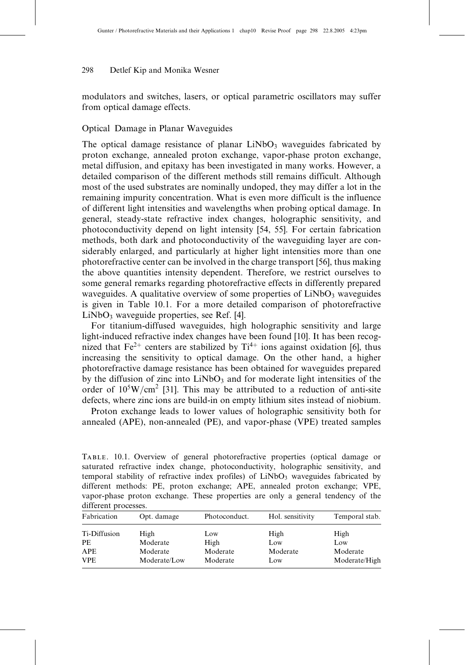modulators and switches, lasers, or optical parametric oscillators may suffer from optical damage effects.

#### Optical Damage in Planar Waveguides

The optical damage resistance of planar  $LiNbO<sub>3</sub>$  waveguides fabricated by proton exchange, annealed proton exchange, vapor-phase proton exchange, metal diffusion, and epitaxy has been investigated in many works. However, a detailed comparison of the different methods still remains difficult. Although most of the used substrates are nominally undoped, they may differ a lot in the remaining impurity concentration. What is even more difficult is the influence of different light intensities and wavelengths when probing optical damage. In general, steady-state refractive index changes, holographic sensitivity, and photoconductivity depend on light intensity [54, 55]. For certain fabrication methods, both dark and photoconductivity of the waveguiding layer are considerably enlarged, and particularly at higher light intensities more than one photorefractive center can be involved in the charge transport [56], thus making the above quantities intensity dependent. Therefore, we restrict ourselves to some general remarks regarding photorefractive effects in differently prepared waveguides. A qualitative overview of some properties of  $LiNbO<sub>3</sub>$  waveguides is given in Table 10.1. For a more detailed comparison of photorefractive  $LiNbO<sub>3</sub>$  waveguide properties, see Ref. [4].

For titanium-diffused waveguides, high holographic sensitivity and large light-induced refractive index changes have been found [10]. It has been recognized that  $Fe^{2+}$  centers are stabilized by  $Ti^{4+}$  ions against oxidation [6], thus increasing the sensitivity to optical damage. On the other hand, a higher photorefractive damage resistance has been obtained for waveguides prepared by the diffusion of zinc into  $LiNbO<sub>3</sub>$  and for moderate light intensities of the order of  $10^5$ W/cm<sup>2</sup> [31]. This may be attributed to a reduction of anti-site defects, where zinc ions are build-in on empty lithium sites instead of niobium.

Proton exchange leads to lower values of holographic sensitivity both for annealed (APE), non-annealed (PE), and vapor-phase (VPE) treated samples

Table. 10.1. Overview of general photorefractive properties (optical damage or saturated refractive index change, photoconductivity, holographic sensitivity, and temporal stability of refractive index profiles) of  $LiNbO<sub>3</sub>$  waveguides fabricated by different methods: PE, proton exchange; APE, annealed proton exchange; VPE, vapor-phase proton exchange. These properties are only a general tendency of the different processes.

| Opt. damage              | Photoconduct.        | Hol. sensitivity | Temporal stab.            |
|--------------------------|----------------------|------------------|---------------------------|
| High                     | Low                  | High             | High<br>Low               |
| Moderate<br>Moderate/Low | Moderate<br>Moderate | Moderate<br>Low  | Moderate<br>Moderate/High |
|                          | Moderate             | High             | Low                       |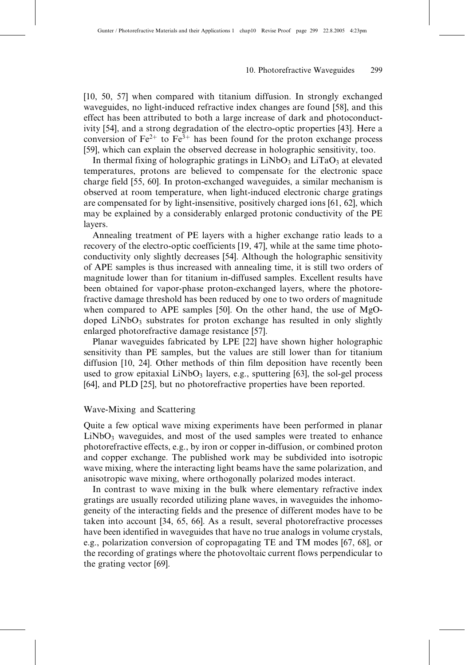[10, 50, 57] when compared with titanium diffusion. In strongly exchanged waveguides, no light-induced refractive index changes are found [58], and this effect has been attributed to both a large increase of dark and photoconductivity [54], and a strong degradation of the electro-optic properties [43]. Here a conversion of  $Fe^{2+}$  to  $Fe^{3+}$  has been found for the proton exchange process [59], which can explain the observed decrease in holographic sensitivity, too.

In thermal fixing of holographic gratings in  $LiNbO<sub>3</sub>$  and  $LiTaO<sub>3</sub>$  at elevated temperatures, protons are believed to compensate for the electronic space charge field [55, 60]. In proton-exchanged waveguides, a similar mechanism is observed at room temperature, when light-induced electronic charge gratings are compensated for by light-insensitive, positively charged ions [61, 62], which may be explained by a considerably enlarged protonic conductivity of the PE layers.

Annealing treatment of PE layers with a higher exchange ratio leads to a recovery of the electro-optic coefficients [19, 47], while at the same time photoconductivity only slightly decreases [54]. Although the holographic sensitivity of APE samples is thus increased with annealing time, it is still two orders of magnitude lower than for titanium in-diffused samples. Excellent results have been obtained for vapor-phase proton-exchanged layers, where the photorefractive damage threshold has been reduced by one to two orders of magnitude when compared to APE samples [50]. On the other hand, the use of MgOdoped  $LiNbO<sub>3</sub>$  substrates for proton exchange has resulted in only slightly enlarged photorefractive damage resistance [57].

Planar waveguides fabricated by LPE [22] have shown higher holographic sensitivity than PE samples, but the values are still lower than for titanium diffusion [10, 24]. Other methods of thin film deposition have recently been used to grow epitaxial  $LiNbO<sub>3</sub>$  layers, e.g., sputtering [63], the sol-gel process [64], and PLD [25], but no photorefractive properties have been reported.

#### Wave-Mixing and Scattering

Quite a few optical wave mixing experiments have been performed in planar  $LiNbO<sub>3</sub>$  waveguides, and most of the used samples were treated to enhance photorefractive effects, e.g., by iron or copper in-diffusion, or combined proton and copper exchange. The published work may be subdivided into isotropic wave mixing, where the interacting light beams have the same polarization, and anisotropic wave mixing, where orthogonally polarized modes interact.

In contrast to wave mixing in the bulk where elementary refractive index gratings are usually recorded utilizing plane waves, in waveguides the inhomogeneity of the interacting fields and the presence of different modes have to be taken into account [34, 65, 66]. As a result, several photorefractive processes have been identified in waveguides that have no true analogs in volume crystals, e.g., polarization conversion of copropagating TE and TM modes [67, 68], or the recording of gratings where the photovoltaic current flows perpendicular to the grating vector [69].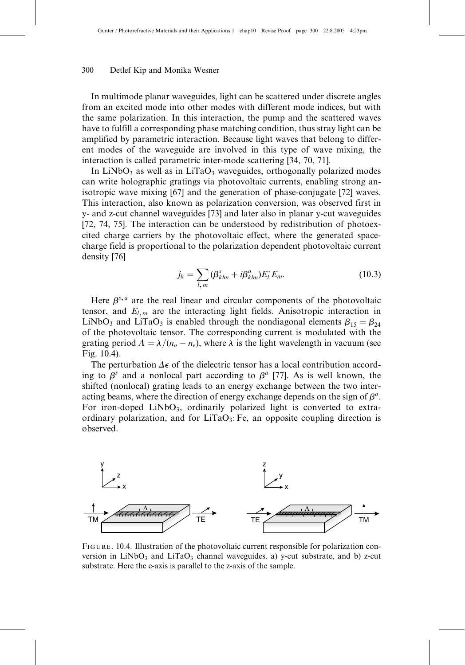In multimode planar waveguides, light can be scattered under discrete angles from an excited mode into other modes with different mode indices, but with the same polarization. In this interaction, the pump and the scattered waves have to fulfill a corresponding phase matching condition, thus stray light can be amplified by parametric interaction. Because light waves that belong to different modes of the waveguide are involved in this type of wave mixing, the interaction is called parametric inter-mode scattering [34, 70, 71].

In LiNbO<sub>3</sub> as well as in LiTaO<sub>3</sub> waveguides, orthogonally polarized modes can write holographic gratings via photovoltaic currents, enabling strong anisotropic wave mixing [67] and the generation of phase-conjugate [72] waves. This interaction, also known as polarization conversion, was observed first in y- and z-cut channel waveguides [73] and later also in planar y-cut waveguides [72, 74, 75]. The interaction can be understood by redistribution of photoexcited charge carriers by the photovoltaic effect, where the generated spacecharge field is proportional to the polarization dependent photovoltaic current density [76]

$$
j_k = \sum_{l,m} (\beta_{klm}^s + i\beta_{klm}^a) E_l^* E_m.
$$
 (10.3)

Here  $\beta^{s,a}$  are the real linear and circular components of the photovoltaic tensor, and  $E_{l,m}$  are the interacting light fields. Anisotropic interaction in LiNbO<sub>3</sub> and LiTaO<sub>3</sub> is enabled through the nondiagonal elements  $\beta_{15} = \beta_{24}$ of the photovoltaic tensor. The corresponding current is modulated with the grating period  $\Lambda = \lambda/(n_o - n_e)$ , where  $\lambda$  is the light wavelength in vacuum (see Fig. 10.4).

The perturbation  $\Delta \epsilon$  of the dielectric tensor has a local contribution according to  $\beta^s$  and a nonlocal part according to  $\beta^a$  [77]. As is well known, the shifted (nonlocal) grating leads to an energy exchange between the two interacting beams, where the direction of energy exchange depends on the sign of  $\beta^a$ . For iron-doped  $LiNbO<sub>3</sub>$ , ordinarily polarized light is converted to extraordinary polarization, and for  $LiTaO<sub>3</sub>: Fe$ , an opposite coupling direction is observed.



Figure. 10.4. Illustration of the photovoltaic current responsible for polarization conversion in  $LiNbO<sub>3</sub>$  and  $LiTaO<sub>3</sub>$  channel waveguides. a) y-cut substrate, and b) z-cut substrate. Here the c-axis is parallel to the z-axis of the sample.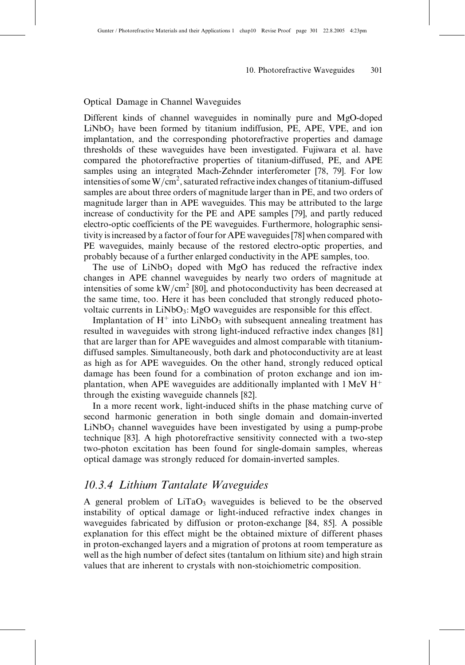#### Optical Damage in Channel Waveguides

Different kinds of channel waveguides in nominally pure and MgO-doped  $LiNbO<sub>3</sub>$  have been formed by titanium indiffusion, PE, APE, VPE, and ion implantation, and the corresponding photorefractive properties and damage thresholds of these waveguides have been investigated. Fujiwara et al. have compared the photorefractive properties of titanium-diffused, PE, and APE samples using an integrated Mach-Zehnder interferometer [78, 79]. For low intensities of some W/cm<sup>2</sup>, saturated refractive index changes of titanium-diffused samples are about three orders of magnitude larger than in PE, and two orders of magnitude larger than in APE waveguides. This may be attributed to the large increase of conductivity for the PE and APE samples [79], and partly reduced electro-optic coefficients of the PE waveguides. Furthermore, holographic sensitivity is increased by a factor of four for APE waveguides [78] when compared with PE waveguides, mainly because of the restored electro-optic properties, and probably because of a further enlarged conductivity in the APE samples, too.

The use of  $LiNbO<sub>3</sub>$  doped with MgO has reduced the refractive index changes in APE channel waveguides by nearly two orders of magnitude at intensities of some  $kW/cm^2$  [80], and photoconductivity has been decreased at the same time, too. Here it has been concluded that strongly reduced photovoltaic currents in  $LiNbO<sub>3</sub>$ : MgO waveguides are responsible for this effect.

Implantation of  $H^+$  into LiNbO<sub>3</sub> with subsequent annealing treatment has resulted in waveguides with strong light-induced refractive index changes [81] that are larger than for APE waveguides and almost comparable with titaniumdiffused samples. Simultaneously, both dark and photoconductivity are at least as high as for APE waveguides. On the other hand, strongly reduced optical damage has been found for a combination of proton exchange and ion implantation, when APE waveguides are additionally implanted with  $1 \text{ MeV } H^+$ through the existing waveguide channels [82].

In a more recent work, light-induced shifts in the phase matching curve of second harmonic generation in both single domain and domain-inverted  $LiNbO<sub>3</sub>$  channel waveguides have been investigated by using a pump-probe technique [83]. A high photorefractive sensitivity connected with a two-step two-photon excitation has been found for single-domain samples, whereas optical damage was strongly reduced for domain-inverted samples.

## 10.3.4 Lithium Tantalate Waveguides

A general problem of  $LiTaO<sub>3</sub>$  waveguides is believed to be the observed instability of optical damage or light-induced refractive index changes in waveguides fabricated by diffusion or proton-exchange [84, 85]. A possible explanation for this effect might be the obtained mixture of different phases in proton-exchanged layers and a migration of protons at room temperature as well as the high number of defect sites (tantalum on lithium site) and high strain values that are inherent to crystals with non-stoichiometric composition.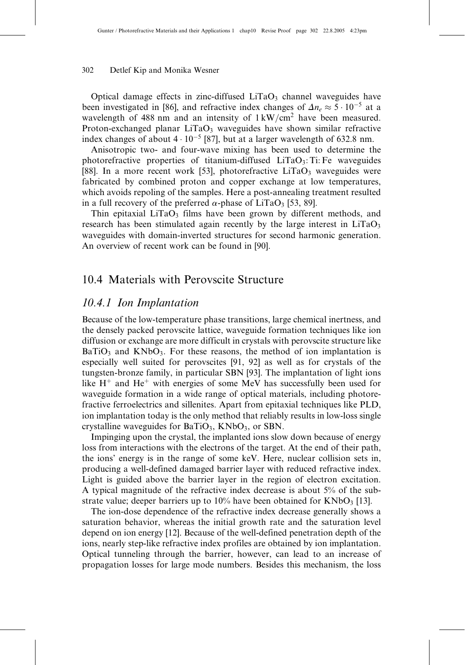Optical damage effects in zinc-diffused  $LiTaO<sub>3</sub>$  channel waveguides have been investigated in [86], and refractive index changes of  $\Delta n_e \approx 5 \cdot 10^{-5}$  at a wavelength of 488 nm and an intensity of  $1 \text{ kW/cm}^2$  have been measured. Proton-exchanged planar  $LiTaO_3$  waveguides have shown similar refractive index changes of about  $4 \cdot 10^{-5}$  [87], but at a larger wavelength of 632.8 nm.

Anisotropic two- and four-wave mixing has been used to determine the photorefractive properties of titanium-diffused  $LiTaO<sub>3</sub>$ : Ti: Fe waveguides [88]. In a more recent work [53], photorefractive  $LiTaO<sub>3</sub>$  waveguides were fabricated by combined proton and copper exchange at low temperatures, which avoids repoling of the samples. Here a post-annealing treatment resulted in a full recovery of the preferred  $\alpha$ -phase of LiTaO<sub>3</sub> [53, 89].

Thin epitaxial  $LiTaO<sub>3</sub>$  films have been grown by different methods, and research has been stimulated again recently by the large interest in  $LiTaO<sub>3</sub>$ waveguides with domain-inverted structures for second harmonic generation. An overview of recent work can be found in [90].

## 10.4 Materials with Perovscite Structure

## 10.4.1 Ion Implantation

Because of the low-temperature phase transitions, large chemical inertness, and the densely packed perovscite lattice, waveguide formation techniques like ion diffusion or exchange are more difficult in crystals with perovscite structure like  $BaTiO<sub>3</sub>$  and KNbO<sub>3</sub>. For these reasons, the method of ion implantation is especially well suited for perovscites [91, 92] as well as for crystals of the tungsten-bronze family, in particular SBN [93]. The implantation of light ions like  $H^+$  and  $He^+$  with energies of some MeV has successfully been used for waveguide formation in a wide range of optical materials, including photorefractive ferroelectrics and sillenites. Apart from epitaxial techniques like PLD, ion implantation today is the only method that reliably results in low-loss single crystalline waveguides for  $BaTiO<sub>3</sub>$ , KNbO<sub>3</sub>, or SBN.

Impinging upon the crystal, the implanted ions slow down because of energy loss from interactions with the electrons of the target. At the end of their path, the ions' energy is in the range of some keV. Here, nuclear collision sets in, producing a well-defined damaged barrier layer with reduced refractive index. Light is guided above the barrier layer in the region of electron excitation. A typical magnitude of the refractive index decrease is about 5% of the substrate value; deeper barriers up to  $10\%$  have been obtained for KNbO<sub>3</sub> [13].

The ion-dose dependence of the refractive index decrease generally shows a saturation behavior, whereas the initial growth rate and the saturation level depend on ion energy [12]. Because of the well-defined penetration depth of the ions, nearly step-like refractive index profiles are obtained by ion implantation. Optical tunneling through the barrier, however, can lead to an increase of propagation losses for large mode numbers. Besides this mechanism, the loss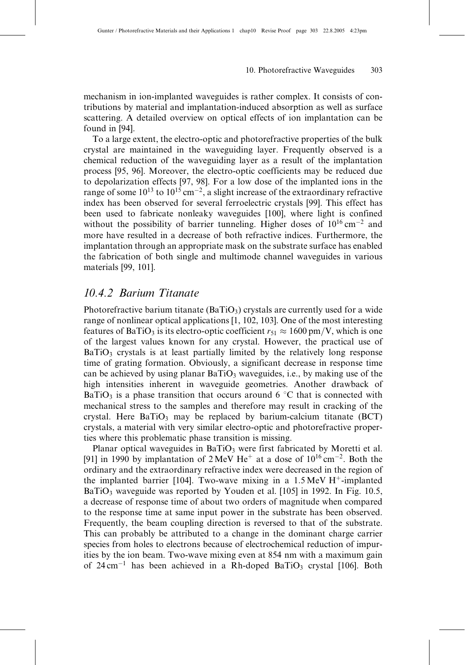mechanism in ion-implanted waveguides is rather complex. It consists of contributions by material and implantation-induced absorption as well as surface scattering. A detailed overview on optical effects of ion implantation can be found in [94].

To a large extent, the electro-optic and photorefractive properties of the bulk crystal are maintained in the waveguiding layer. Frequently observed is a chemical reduction of the waveguiding layer as a result of the implantation process [95, 96]. Moreover, the electro-optic coefficients may be reduced due to depolarization effects [97, 98]. For a low dose of the implanted ions in the range of some  $10^{13}$  to  $10^{15}$  cm<sup>-2</sup>, a slight increase of the extraordinary refractive index has been observed for several ferroelectric crystals [99]. This effect has been used to fabricate nonleaky waveguides [100], where light is confined without the possibility of barrier tunneling. Higher doses of  $10^{16}$  cm<sup>-2</sup> and more have resulted in a decrease of both refractive indices. Furthermore, the implantation through an appropriate mask on the substrate surface has enabled the fabrication of both single and multimode channel waveguides in various materials [99, 101].

## 10.4.2 Barium Titanate

Photorefractive barium titanate (BaTiO<sub>3</sub>) crystals are currently used for a wide range of nonlinear optical applications [1, 102, 103]. One of the most interesting features of BaTiO<sub>3</sub> is its electro-optic coefficient  $r_{51} \approx 1600 \text{ pm/V}$ , which is one of the largest values known for any crystal. However, the practical use of  $BaTiO<sub>3</sub>$  crystals is at least partially limited by the relatively long response time of grating formation. Obviously, a significant decrease in response time can be achieved by using planar  $BaTiO<sub>3</sub>$  waveguides, i.e., by making use of the high intensities inherent in waveguide geometries. Another drawback of BaTiO<sub>3</sub> is a phase transition that occurs around 6  $\degree$ C that is connected with mechanical stress to the samples and therefore may result in cracking of the crystal. Here  $BaTiO<sub>3</sub>$  may be replaced by barium-calcium titanate (BCT) crystals, a material with very similar electro-optic and photorefractive properties where this problematic phase transition is missing.

Planar optical waveguides in  $BaTiO<sub>3</sub>$  were first fabricated by Moretti et al. [91] in 1990 by implantation of  $2 \text{ MeV He}^+$  at a dose of  $10^{16} \text{ cm}^{-2}$ . Both the ordinary and the extraordinary refractive index were decreased in the region of the implanted barrier [104]. Two-wave mixing in a  $1.5 \text{ MeV H}^+$ -implanted BaTiO<sub>3</sub> waveguide was reported by Youden et al. [105] in 1992. In Fig. 10.5, a decrease of response time of about two orders of magnitude when compared to the response time at same input power in the substrate has been observed. Frequently, the beam coupling direction is reversed to that of the substrate. This can probably be attributed to a change in the dominant charge carrier species from holes to electrons because of electrochemical reduction of impurities by the ion beam. Two-wave mixing even at 854 nm with a maximum gain of  $24 \text{ cm}^{-1}$  has been achieved in a Rh-doped BaTiO<sub>3</sub> crystal [106]. Both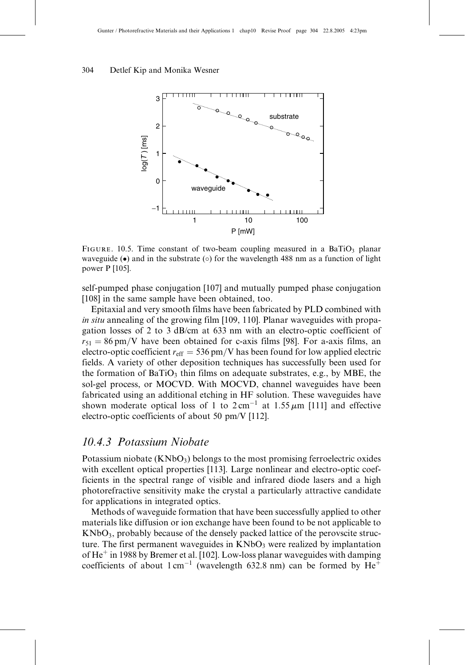

FIGURE. 10.5. Time constant of two-beam coupling measured in a BaTiO<sub>3</sub> planar waveguide ( $\bullet$ ) and in the substrate ( $\circ$ ) for the wavelength 488 nm as a function of light power P [105].

self-pumped phase conjugation [107] and mutually pumped phase conjugation [108] in the same sample have been obtained, too.

Epitaxial and very smooth films have been fabricated by PLD combined with in situ annealing of the growing film [109, 110]. Planar waveguides with propagation losses of 2 to 3 dB/cm at 633 nm with an electro-optic coefficient of  $r_{51} = 86 \text{ pm/V}$  have been obtained for c-axis films [98]. For a-axis films, an electro-optic coefficient  $r_{\text{eff}} = 536 \text{ pm/V}$  has been found for low applied electric fields. A variety of other deposition techniques has successfully been used for the formation of  $BaTiO<sub>3</sub>$  thin films on adequate substrates, e.g., by MBE, the sol-gel process, or MOCVD. With MOCVD, channel waveguides have been fabricated using an additional etching in HF solution. These waveguides have shown moderate optical loss of 1 to  $2 \text{ cm}^{-1}$  at  $1.55 \mu \text{m}$  [111] and effective electro-optic coefficients of about 50 pm/V [112].

## 10.4.3 Potassium Niobate

Potassium niobate  $(KNbO<sub>3</sub>)$  belongs to the most promising ferroelectric oxides with excellent optical properties [113]. Large nonlinear and electro-optic coefficients in the spectral range of visible and infrared diode lasers and a high photorefractive sensitivity make the crystal a particularly attractive candidate for applications in integrated optics.

Methods of waveguide formation that have been successfully applied to other materials like diffusion or ion exchange have been found to be not applicable to  $KNbO<sub>3</sub>$ , probably because of the densely packed lattice of the perovscite structure. The first permanent waveguides in  $KNbO<sub>3</sub>$  were realized by implantation of  $He<sup>+</sup>$  in 1988 by Bremer et al. [102]. Low-loss planar waveguides with damping coefficients of about  $1 \text{ cm}^{-1}$  (wavelength 632.8 nm) can be formed by  $\text{He}^+$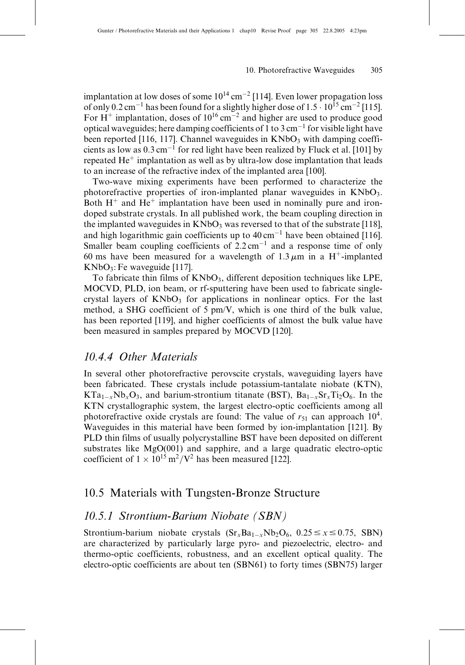implantation at low doses of some  $10^{14}$  cm<sup>-2</sup> [114]. Even lower propagation loss of only  $0.2 \text{ cm}^{-1}$  has been found for a slightly higher dose of  $1.5 \cdot 10^{15} \text{ cm}^{-2}$  [115]. For H<sup>+</sup> implantation, doses of  $10^{16}$  cm<sup>-2</sup> and higher are used to produce good optical waveguides; here damping coefficients of 1 to 3 cm<sup>-1</sup> for visible light have been reported [116, 117]. Channel waveguides in  $KNbO<sub>3</sub>$  with damping coefficients as low as  $0.3 \text{ cm}^{-1}$  for red light have been realized by Fluck et al. [101] by repeated  $He<sup>+</sup>$  implantation as well as by ultra-low dose implantation that leads to an increase of the refractive index of the implanted area [100].

Two-wave mixing experiments have been performed to characterize the photorefractive properties of iron-implanted planar waveguides in  $KNbO<sub>3</sub>$ . Both  $H^+$  and  $He^+$  implantation have been used in nominally pure and irondoped substrate crystals. In all published work, the beam coupling direction in the implanted waveguides in  $KNbO<sub>3</sub>$  was reversed to that of the substrate [118], and high logarithmic gain coefficients up to  $40 \text{ cm}^{-1}$  have been obtained [116]. Smaller beam coupling coefficients of  $2.2 \text{ cm}^{-1}$  and a response time of only 60 ms have been measured for a wavelength of  $1.3 \mu m$  in a H<sup>+</sup>-implanted  $KNbO_3$ : Fe waveguide [117].

To fabricate thin films of  $KNbO_3$ , different deposition techniques like LPE, MOCVD, PLD, ion beam, or rf-sputtering have been used to fabricate singlecrystal layers of  $KNbO<sub>3</sub>$  for applications in nonlinear optics. For the last method, a SHG coefficient of 5 pm/V, which is one third of the bulk value, has been reported [119], and higher coefficients of almost the bulk value have been measured in samples prepared by MOCVD [120].

## 10.4.4 Other Materials

In several other photorefractive perovscite crystals, waveguiding layers have been fabricated. These crystals include potassium-tantalate niobate (KTN),  $KTa_{1-x}Nb_xO_3$ , and barium-strontium titanate (BST),  $Ba_{1-x}Sr_xTi_2O_6$ . In the KTN crystallographic system, the largest electro-optic coefficients among all photorefractive oxide crystals are found: The value of  $r_{51}$  can approach  $10^4$ . Waveguides in this material have been formed by ion-implantation [121]. By PLD thin films of usually polycrystalline BST have been deposited on different substrates like MgO(001) and sapphire, and a large quadratic electro-optic coefficient of  $1 \times 10^{15} \text{ m}^2/\text{V}^2$  has been measured [122].

## 10.5 Materials with Tungsten-Bronze Structure

#### 10.5.1 Strontium-Barium Niobate (SBN)

Strontium-barium niobate crystals  $(Sr_xBa_{1-x}Nb_2O_6, 0.25 \le x \le 0.75, SBN)$ are characterized by particularly large pyro- and piezoelectric, electro- and thermo-optic coefficients, robustness, and an excellent optical quality. The electro-optic coefficients are about ten (SBN61) to forty times (SBN75) larger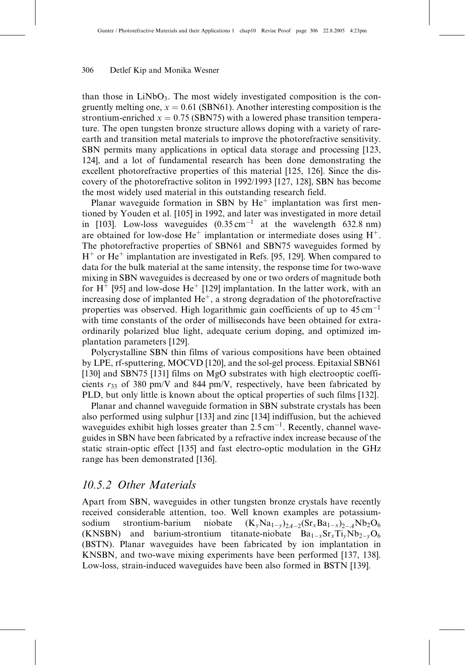than those in  $LiNbO<sub>3</sub>$ . The most widely investigated composition is the congruently melting one,  $x = 0.61$  (SBN61). Another interesting composition is the strontium-enriched  $x = 0.75$  (SBN75) with a lowered phase transition temperature. The open tungsten bronze structure allows doping with a variety of rareearth and transition metal materials to improve the photorefractive sensitivity. SBN permits many applications in optical data storage and processing [123, 124], and a lot of fundamental research has been done demonstrating the excellent photorefractive properties of this material [125, 126]. Since the discovery of the photorefractive soliton in 1992/1993 [127, 128], SBN has become the most widely used material in this outstanding research field.

Planar waveguide formation in SBN by  $He^+$  implantation was first mentioned by Youden et al. [105] in 1992, and later was investigated in more detail in [103]. Low-loss waveguides  $(0.35 \text{ cm}^{-1})$  at the wavelength 632.8 nm) are obtained for low-dose  $He^+$  implantation or intermediate doses using  $H^+$ . The photorefractive properties of SBN61 and SBN75 waveguides formed by  $H^+$  or  $He^+$  implantation are investigated in Refs. [95, 129]. When compared to data for the bulk material at the same intensity, the response time for two-wave mixing in SBN waveguides is decreased by one or two orders of magnitude both for  $H^+$  [95] and low-dose  $He^+$  [129] implantation. In the latter work, with an increasing dose of implanted  $He^+$ , a strong degradation of the photorefractive properties was observed. High logarithmic gain coefficients of up to  $45 \text{ cm}^{-1}$ with time constants of the order of milliseconds have been obtained for extraordinarily polarized blue light, adequate cerium doping, and optimized implantation parameters [129].

Polycrystalline SBN thin films of various compositions have been obtained by LPE, rf-sputtering, MOCVD [120], and the sol-gel process. Epitaxial SBN61 [130] and SBN75 [131] films on MgO substrates with high electrooptic coefficients  $r_{33}$  of 380 pm/V and 844 pm/V, respectively, have been fabricated by PLD, but only little is known about the optical properties of such films [132].

Planar and channel waveguide formation in SBN substrate crystals has been also performed using sulphur [133] and zinc [134] indiffusion, but the achieved waveguides exhibit high losses greater than  $2.5 \text{ cm}^{-1}$ . Recently, channel waveguides in SBN have been fabricated by a refractive index increase because of the static strain-optic effect [135] and fast electro-optic modulation in the GHz range has been demonstrated [136].

## 10.5.2 Other Materials

Apart from SBN, waveguides in other tungsten bronze crystals have recently received considerable attention, too. Well known examples are potassiumsodium strontium-barium niobate  $(y)_{2A-2}(Sr_xBa_{1-x})_{2-A}Nb_2O_6$ (KNSBN) and barium-strontium titanate-niobate  $Ba_{1-x}Sr_xTi_yNb_{2-y}O_6$ (BSTN). Planar waveguides have been fabricated by ion implantation in KNSBN, and two-wave mixing experiments have been performed [137, 138]. Low-loss, strain-induced waveguides have been also formed in BSTN [139].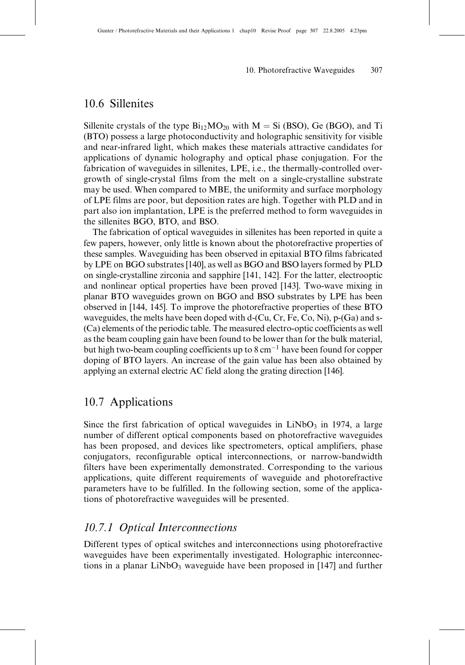## 10.6 Sillenites

Sillenite crystals of the type  $B_{12}MO_{20}$  with  $M = Si (BSO)$ , Ge (BGO), and Ti (BTO) possess a large photoconductivity and holographic sensitivity for visible and near-infrared light, which makes these materials attractive candidates for applications of dynamic holography and optical phase conjugation. For the fabrication of waveguides in sillenites, LPE, i.e., the thermally-controlled overgrowth of single-crystal films from the melt on a single-crystalline substrate may be used. When compared to MBE, the uniformity and surface morphology of LPE films are poor, but deposition rates are high. Together with PLD and in part also ion implantation, LPE is the preferred method to form waveguides in the sillenites BGO, BTO, and BSO.

The fabrication of optical waveguides in sillenites has been reported in quite a few papers, however, only little is known about the photorefractive properties of these samples. Waveguiding has been observed in epitaxial BTO films fabricated by LPE on BGO substrates [140], as well as BGO and BSO layers formed by PLD on single-crystalline zirconia and sapphire [141, 142]. For the latter, electrooptic and nonlinear optical properties have been proved [143]. Two-wave mixing in planar BTO waveguides grown on BGO and BSO substrates by LPE has been observed in [144, 145]. To improve the photorefractive properties of these BTO waveguides, the melts have been doped with d-(Cu, Cr, Fe, Co, Ni), p-(Ga) and s- (Ca) elements of the periodic table. The measured electro-optic coefficients as well as the beam coupling gain have been found to be lower than for the bulk material, but high two-beam coupling coefficients up to  $8 \text{ cm}^{-1}$  have been found for copper doping of BTO layers. An increase of the gain value has been also obtained by applying an external electric AC field along the grating direction [146].

## 10.7 Applications

Since the first fabrication of optical waveguides in  $LiNbO<sub>3</sub>$  in 1974, a large number of different optical components based on photorefractive waveguides has been proposed, and devices like spectrometers, optical amplifiers, phase conjugators, reconfigurable optical interconnections, or narrow-bandwidth filters have been experimentally demonstrated. Corresponding to the various applications, quite different requirements of waveguide and photorefractive parameters have to be fulfilled. In the following section, some of the applications of photorefractive waveguides will be presented.

## 10.7.1 Optical Interconnections

Different types of optical switches and interconnections using photorefractive waveguides have been experimentally investigated. Holographic interconnections in a planar  $LiNbO<sub>3</sub>$  waveguide have been proposed in [147] and further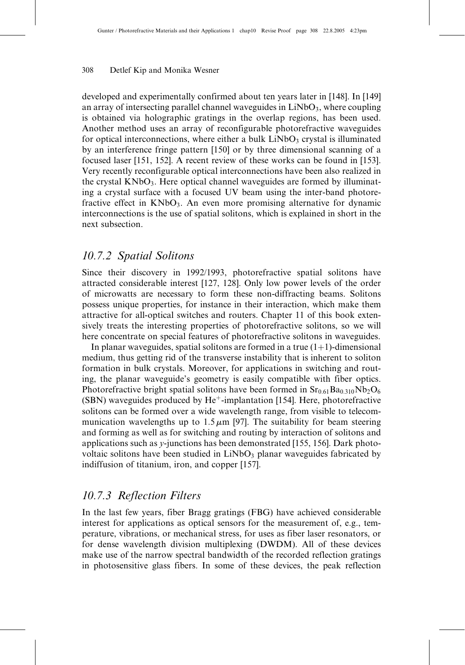developed and experimentally confirmed about ten years later in [148]. In [149] an array of intersecting parallel channel waveguides in  $LiNbO<sub>3</sub>$ , where coupling is obtained via holographic gratings in the overlap regions, has been used. Another method uses an array of reconfigurable photorefractive waveguides for optical interconnections, where either a bulk  $LiNbO<sub>3</sub>$  crystal is illuminated by an interference fringe pattern [150] or by three dimensional scanning of a focused laser [151, 152]. A recent review of these works can be found in [153]. Very recently reconfigurable optical interconnections have been also realized in the crystal  $KNbO<sub>3</sub>$ . Here optical channel waveguides are formed by illuminating a crystal surface with a focused UV beam using the inter-band photorefractive effect in  $KNbO_3$ . An even more promising alternative for dynamic interconnections is the use of spatial solitons, which is explained in short in the next subsection.

## 10.7.2 Spatial Solitons

Since their discovery in 1992/1993, photorefractive spatial solitons have attracted considerable interest [127, 128]. Only low power levels of the order of microwatts are necessary to form these non-diffracting beams. Solitons possess unique properties, for instance in their interaction, which make them attractive for all-optical switches and routers. Chapter 11 of this book extensively treats the interesting properties of photorefractive solitons, so we will here concentrate on special features of photorefractive solitons in waveguides.

In planar waveguides, spatial solitons are formed in a true  $(1+1)$ -dimensional medium, thus getting rid of the transverse instability that is inherent to soliton formation in bulk crystals. Moreover, for applications in switching and routing, the planar waveguide's geometry is easily compatible with fiber optics. Photorefractive bright spatial solitons have been formed in  $Sr<sub>0.61</sub>Ba<sub>0.310</sub>Nb<sub>2</sub>O<sub>6</sub>$ (SBN) waveguides produced by  $He^+$ -implantation [154]. Here, photorefractive solitons can be formed over a wide wavelength range, from visible to telecommunication wavelengths up to  $1.5 \mu m$  [97]. The suitability for beam steering and forming as well as for switching and routing by interaction of solitons and applications such as y-junctions has been demonstrated [155, 156]. Dark photovoltaic solitons have been studied in LiNbO<sub>3</sub> planar waveguides fabricated by indiffusion of titanium, iron, and copper [157].

## 10.7.3 Reflection Filters

In the last few years, fiber Bragg gratings (FBG) have achieved considerable interest for applications as optical sensors for the measurement of, e.g., temperature, vibrations, or mechanical stress, for uses as fiber laser resonators, or for dense wavelength division multiplexing (DWDM). All of these devices make use of the narrow spectral bandwidth of the recorded reflection gratings in photosensitive glass fibers. In some of these devices, the peak reflection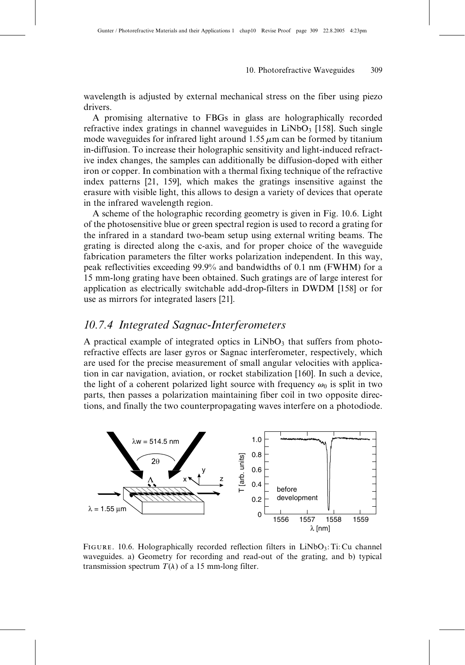wavelength is adjusted by external mechanical stress on the fiber using piezo drivers.

A promising alternative to FBGs in glass are holographically recorded refractive index gratings in channel waveguides in  $LiNbO<sub>3</sub>$  [158]. Such single mode waveguides for infrared light around  $1.55 \mu m$  can be formed by titanium in-diffusion. To increase their holographic sensitivity and light-induced refractive index changes, the samples can additionally be diffusion-doped with either iron or copper. In combination with a thermal fixing technique of the refractive index patterns [21, 159], which makes the gratings insensitive against the erasure with visible light, this allows to design a variety of devices that operate in the infrared wavelength region.

A scheme of the holographic recording geometry is given in Fig. 10.6. Light of the photosensitive blue or green spectral region is used to record a grating for the infrared in a standard two-beam setup using external writing beams. The grating is directed along the c-axis, and for proper choice of the waveguide fabrication parameters the filter works polarization independent. In this way, peak reflectivities exceeding 99.9% and bandwidths of 0.1 nm (FWHM) for a 15 mm-long grating have been obtained. Such gratings are of large interest for application as electrically switchable add-drop-filters in DWDM [158] or for use as mirrors for integrated lasers [21].

## 10.7.4 Integrated Sagnac-Interferometers

A practical example of integrated optics in  $LiNbO<sub>3</sub>$  that suffers from photorefractive effects are laser gyros or Sagnac interferometer, respectively, which are used for the precise measurement of small angular velocities with application in car navigation, aviation, or rocket stabilization [160]. In such a device, the light of a coherent polarized light source with frequency  $\omega_0$  is split in two parts, then passes a polarization maintaining fiber coil in two opposite directions, and finally the two counterpropagating waves interfere on a photodiode.



FIGURE. 10.6. Holographically recorded reflection filters in LiNbO3: Ti: Cu channel waveguides. a) Geometry for recording and read-out of the grating, and b) typical transmission spectrum  $T(\lambda)$  of a 15 mm-long filter.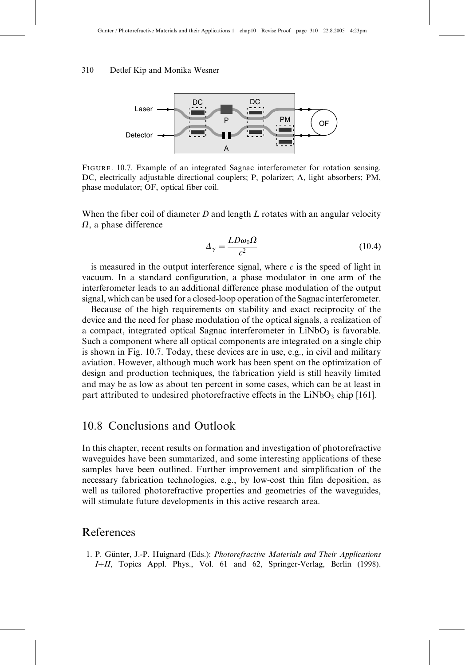

Figure. 10.7. Example of an integrated Sagnac interferometer for rotation sensing. DC, electrically adjustable directional couplers; P, polarizer; A, light absorbers; PM, phase modulator; OF, optical fiber coil.

When the fiber coil of diameter  $D$  and length  $L$  rotates with an angular velocity  $\Omega$ , a phase difference

$$
\Delta_{\gamma} = \frac{LD\omega_0 \Omega}{c^2} \tag{10.4}
$$

is measured in the output interference signal, where  $c$  is the speed of light in vacuum. In a standard configuration, a phase modulator in one arm of the interferometer leads to an additional difference phase modulation of the output signal, which can be used for a closed-loop operation of the Sagnac interferometer.

Because of the high requirements on stability and exact reciprocity of the device and the need for phase modulation of the optical signals, a realization of a compact, integrated optical Sagnac interferometer in  $LiNbO<sub>3</sub>$  is favorable. Such a component where all optical components are integrated on a single chip is shown in Fig. 10.7. Today, these devices are in use, e.g., in civil and military aviation. However, although much work has been spent on the optimization of design and production techniques, the fabrication yield is still heavily limited and may be as low as about ten percent in some cases, which can be at least in part attributed to undesired photorefractive effects in the  $LiNbO<sub>3</sub>$  chip [161].

## 10.8 Conclusions and Outlook

In this chapter, recent results on formation and investigation of photorefractive waveguides have been summarized, and some interesting applications of these samples have been outlined. Further improvement and simplification of the necessary fabrication technologies, e.g., by low-cost thin film deposition, as well as tailored photorefractive properties and geometries of the waveguides, will stimulate future developments in this active research area.

## References

1. P. Günter, J.-P. Huignard (Eds.): Photorefractive Materials and Their Applications I+II, Topics Appl. Phys., Vol. 61 and 62, Springer-Verlag, Berlin (1998).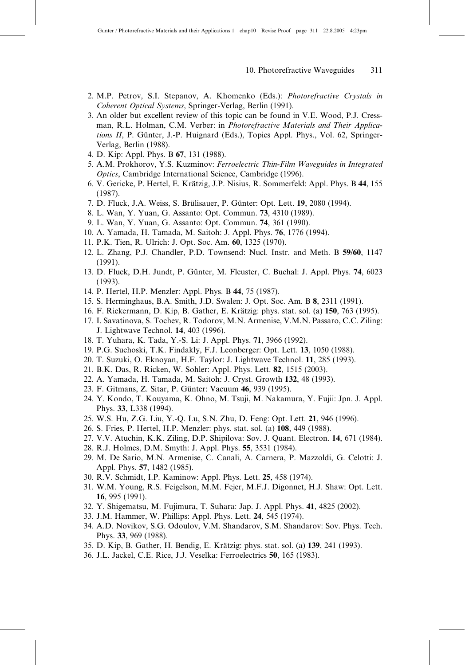- 2. M.P. Petrov, S.I. Stepanov, A. Khomenko (Eds.): Photorefractive Crystals in Coherent Optical Systems, Springer-Verlag, Berlin (1991).
- 3. An older but excellent review of this topic can be found in V.E. Wood, P.J. Cressman, R.L. Holman, C.M. Verber: in Photorefractive Materials and Their Applications  $II$ , P. Günter, J.-P. Huignard (Eds.), Topics Appl. Phys., Vol. 62, Springer-Verlag, Berlin (1988).
- 4. D. Kip: Appl. Phys. B 67, 131 (1988).
- 5. A.M. Prokhorov, Y.S. Kuzminov: Ferroelectric Thin-Film Waveguides in Integrated Optics, Cambridge International Science, Cambridge (1996).
- 6. V. Gericke, P. Hertel, E. Krätzig, J.P. Nisius, R. Sommerfeld: Appl. Phys. B 44, 155 (1987).
- 7. D. Fluck, J.A. Weiss, S. Brülisauer, P. Günter: Opt. Lett. 19, 2080 (1994).
- 8. L. Wan, Y. Yuan, G. Assanto: Opt. Commun. 73, 4310 (1989).
- 9. L. Wan, Y. Yuan, G. Assanto: Opt. Commun. 74, 361 (1990).
- 10. A. Yamada, H. Tamada, M. Saitoh: J. Appl. Phys. 76, 1776 (1994).
- 11. P.K. Tien, R. Ulrich: J. Opt. Soc. Am. 60, 1325 (1970).
- 12. L. Zhang, P.J. Chandler, P.D. Townsend: Nucl. Instr. and Meth. B 59/60, 1147 (1991).
- 13. D. Fluck, D.H. Jundt, P. Günter, M. Fleuster, C. Buchal: J. Appl. Phys. 74, 6023 (1993).
- 14. P. Hertel, H.P. Menzler: Appl. Phys. B 44, 75 (1987).
- 15. S. Herminghaus, B.A. Smith, J.D. Swalen: J. Opt. Soc. Am. B 8, 2311 (1991).
- 16. F. Rickermann, D. Kip, B. Gather, E. Krätzig: phys. stat. sol. (a) 150, 763 (1995).
- 17. I. Savatinova, S. Tochev, R. Todorov, M.N. Armenise, V.M.N. Passaro, C.C. Ziling: J. Lightwave Technol. 14, 403 (1996).
- 18. T. Yuhara, K. Tada, Y.-S. Li: J. Appl. Phys. 71, 3966 (1992).
- 19. P.G. Suchoski, T.K. Findakly, F.J. Leonberger: Opt. Lett. 13, 1050 (1988).
- 20. T. Suzuki, O. Eknoyan, H.F. Taylor: J. Lightwave Technol. 11, 285 (1993).
- 21. B.K. Das, R. Ricken, W. Sohler: Appl. Phys. Lett. 82, 1515 (2003).
- 22. A. Yamada, H. Tamada, M. Saitoh: J. Cryst. Growth 132, 48 (1993).
- 23. F. Gitmans, Z. Sitar, P. Günter: Vacuum 46, 939 (1995).
- 24. Y. Kondo, T. Kouyama, K. Ohno, M. Tsuji, M. Nakamura, Y. Fujii: Jpn. J. Appl. Phys. 33, L338 (1994).
- 25. W.S. Hu, Z.G. Liu, Y.-Q. Lu, S.N. Zhu, D. Feng: Opt. Lett. 21, 946 (1996).
- 26. S. Fries, P. Hertel, H.P. Menzler: phys. stat. sol. (a) 108, 449 (1988).
- 27. V.V. Atuchin, K.K. Ziling, D.P. Shipilova: Sov. J. Quant. Electron. 14, 671 (1984).
- 28. R.J. Holmes, D.M. Smyth: J. Appl. Phys. 55, 3531 (1984).
- 29. M. De Sario, M.N. Armenise, C. Canali, A. Carnera, P. Mazzoldi, G. Celotti: J. Appl. Phys. 57, 1482 (1985).
- 30. R.V. Schmidt, I.P. Kaminow: Appl. Phys. Lett. 25, 458 (1974).
- 31. W.M. Young, R.S. Feigelson, M.M. Fejer, M.F.J. Digonnet, H.J. Shaw: Opt. Lett. 16, 995 (1991).
- 32. Y. Shigematsu, M. Fujimura, T. Suhara: Jap. J. Appl. Phys. 41, 4825 (2002).
- 33. J.M. Hammer, W. Phillips: Appl. Phys. Lett. 24, 545 (1974).
- 34. A.D. Novikov, S.G. Odoulov, V.M. Shandarov, S.M. Shandarov: Sov. Phys. Tech. Phys. 33, 969 (1988).
- 35. D. Kip, B. Gather, H. Bendig, E. Krätzig: phys. stat. sol. (a) 139, 241 (1993).
- 36. J.L. Jackel, C.E. Rice, J.J. Veselka: Ferroelectrics 50, 165 (1983).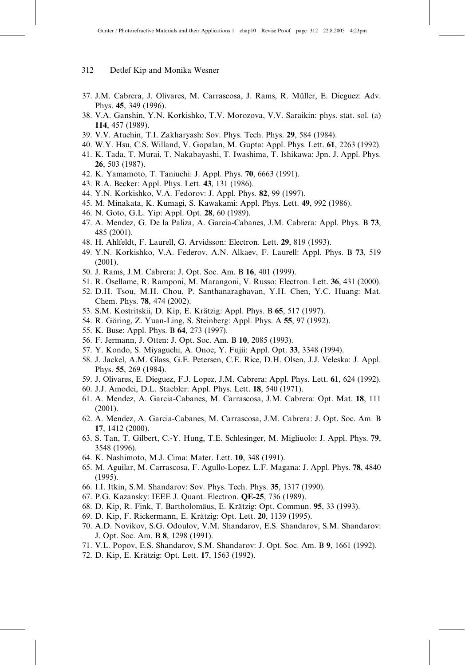- 312 Detlef Kip and Monika Wesner
- 37. J.M. Cabrera, J. Olivares, M. Carrascosa, J. Rams, R. Müller, E. Dieguez: Adv. Phys. 45, 349 (1996).
- 38. V.A. Ganshin, Y.N. Korkishko, T.V. Morozova, V.V. Saraikin: phys. stat. sol. (a) 114, 457 (1989).
- 39. V.V. Atuchin, T.I. Zakharyash: Sov. Phys. Tech. Phys. 29, 584 (1984).
- 40. W.Y. Hsu, C.S. Willand, V. Gopalan, M. Gupta: Appl. Phys. Lett. 61, 2263 (1992).
- 41. K. Tada, T. Murai, T. Nakabayashi, T. Iwashima, T. Ishikawa: Jpn. J. Appl. Phys. 26, 503 (1987).
- 42. K. Yamamoto, T. Taniuchi: J. Appl. Phys. 70, 6663 (1991).
- 43. R.A. Becker: Appl. Phys. Lett. 43, 131 (1986).
- 44. Y.N. Korkishko, V.A. Fedorov: J. Appl. Phys. 82, 99 (1997).
- 45. M. Minakata, K. Kumagi, S. Kawakami: Appl. Phys. Lett. 49, 992 (1986).
- 46. N. Goto, G.L. Yip: Appl. Opt. 28, 60 (1989).
- 47. A. Mendez, G. De la Paliza, A. Garcia-Cabanes, J.M. Cabrera: Appl. Phys. B 73, 485 (2001).
- 48. H. Ahlfeldt, F. Laurell, G. Arvidsson: Electron. Lett. 29, 819 (1993).
- 49. Y.N. Korkishko, V.A. Federov, A.N. Alkaev, F. Laurell: Appl. Phys. B 73, 519 (2001).
- 50. J. Rams, J.M. Cabrera: J. Opt. Soc. Am. B 16, 401 (1999).
- 51. R. Osellame, R. Ramponi, M. Marangoni, V. Russo: Electron. Lett. 36, 431 (2000).
- 52. D.H. Tsou, M.H. Chou, P. Santhanaraghavan, Y.H. Chen, Y.C. Huang: Mat. Chem. Phys. 78, 474 (2002).
- 53. S.M. Kostritskii, D. Kip, E. Krätzig: Appl. Phys. B 65, 517 (1997).
- 54. R. Göring, Z. Yuan-Ling, S. Steinberg: Appl. Phys. A 55, 97 (1992).
- 55. K. Buse: Appl. Phys. B 64, 273 (1997).
- 56. F. Jermann, J. Otten: J. Opt. Soc. Am. B 10, 2085 (1993).
- 57. Y. Kondo, S. Miyaguchi, A. Onoe, Y. Fujii: Appl. Opt. 33, 3348 (1994).
- 58. J. Jackel, A.M. Glass, G.E. Petersen, C.E. Rice, D.H. Olsen, J.J. Veleska: J. Appl. Phys. 55, 269 (1984).
- 59. J. Olivares, E. Dieguez, F.J. Lopez, J.M. Cabrera: Appl. Phys. Lett. 61, 624 (1992).
- 60. J.J. Amodei, D.L. Staebler: Appl. Phys. Lett. 18, 540 (1971).
- 61. A. Mendez, A. Garcia-Cabanes, M. Carrascosa, J.M. Cabrera: Opt. Mat. 18, 111 (2001).
- 62. A. Mendez, A. Garcia-Cabanes, M. Carrascosa, J.M. Cabrera: J. Opt. Soc. Am. B 17, 1412 (2000).
- 63. S. Tan, T. Gilbert, C.-Y. Hung, T.E. Schlesinger, M. Migliuolo: J. Appl. Phys. 79, 3548 (1996).
- 64. K. Nashimoto, M.J. Cima: Mater. Lett. 10, 348 (1991).
- 65. M. Aguilar, M. Carrascosa, F. Agullo-Lopez, L.F. Magana: J. Appl. Phys. 78, 4840 (1995).
- 66. I.I. Itkin, S.M. Shandarov: Sov. Phys. Tech. Phys. 35, 1317 (1990).
- 67. P.G. Kazansky: IEEE J. Quant. Electron. QE-25, 736 (1989).
- 68. D. Kip, R. Fink, T. Bartholomäus, E. Krätzig: Opt. Commun. 95, 33 (1993).
- 69. D. Kip, F. Rickermann, E. Krätzig: Opt. Lett. 20, 1139 (1995).
- 70. A.D. Novikov, S.G. Odoulov, V.M. Shandarov, E.S. Shandarov, S.M. Shandarov: J. Opt. Soc. Am. B 8, 1298 (1991).
- 71. V.L. Popov, E.S. Shandarov, S.M. Shandarov: J. Opt. Soc. Am. B 9, 1661 (1992).
- 72. D. Kip, E. Krätzig: Opt. Lett. 17, 1563 (1992).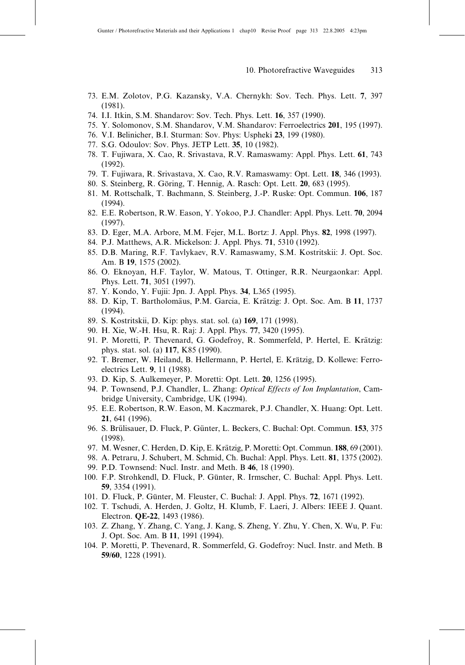- 73. E.M. Zolotov, P.G. Kazansky, V.A. Chernykh: Sov. Tech. Phys. Lett. 7, 397 (1981).
- 74. I.I. Itkin, S.M. Shandarov: Sov. Tech. Phys. Lett. 16, 357 (1990).
- 75. Y. Solomonov, S.M. Shandarov, V.M. Shandarov: Ferroelectrics 201, 195 (1997).
- 76. V.I. Belinicher, B.I. Sturman: Sov. Phys: Uspheki 23, 199 (1980).
- 77. S.G. Odoulov: Sov. Phys. JETP Lett. 35, 10 (1982).
- 78. T. Fujiwara, X. Cao, R. Srivastava, R.V. Ramaswamy: Appl. Phys. Lett. 61, 743 (1992).
- 79. T. Fujiwara, R. Srivastava, X. Cao, R.V. Ramaswamy: Opt. Lett. 18, 346 (1993).
- 80. S. Steinberg, R. Göring, T. Hennig, A. Rasch: Opt. Lett. 20, 683 (1995).
- 81. M. Rottschalk, T. Bachmann, S. Steinberg, J.-P. Ruske: Opt. Commun. 106, 187 (1994).
- 82. E.E. Robertson, R.W. Eason, Y. Yokoo, P.J. Chandler: Appl. Phys. Lett. 70, 2094 (1997).
- 83. D. Eger, M.A. Arbore, M.M. Fejer, M.L. Bortz: J. Appl. Phys. 82, 1998 (1997).
- 84. P.J. Matthews, A.R. Mickelson: J. Appl. Phys. 71, 5310 (1992).
- 85. D.B. Maring, R.F. Tavlykaev, R.V. Ramaswamy, S.M. Kostritskii: J. Opt. Soc. Am. B 19, 1575 (2002).
- 86. O. Eknoyan, H.F. Taylor, W. Matous, T. Ottinger, R.R. Neurgaonkar: Appl. Phys. Lett. 71, 3051 (1997).
- 87. Y. Kondo, Y. Fujii: Jpn. J. Appl. Phys. 34, L365 (1995).
- 88. D. Kip, T. Bartholomäus, P.M. Garcia, E. Krätzig: J. Opt. Soc. Am. B 11, 1737 (1994).
- 89. S. Kostritskii, D. Kip: phys. stat. sol. (a) 169, 171 (1998).
- 90. H. Xie, W.-H. Hsu, R. Raj: J. Appl. Phys. 77, 3420 (1995).
- 91. P. Moretti, P. Thevenard, G. Godefroy, R. Sommerfeld, P. Hertel, E. Krätzig: phys. stat. sol. (a) 117, K85 (1990).
- 92. T. Bremer, W. Heiland, B. Hellermann, P. Hertel, E. Krätzig, D. Kollewe: Ferroelectrics Lett. 9, 11 (1988).
- 93. D. Kip, S. Aulkemeyer, P. Moretti: Opt. Lett. 20, 1256 (1995).
- 94. P. Townsend, P.J. Chandler, L. Zhang: Optical Effects of Ion Implantation, Cambridge University, Cambridge, UK (1994).
- 95. E.E. Robertson, R.W. Eason, M. Kaczmarek, P.J. Chandler, X. Huang: Opt. Lett. 21, 641 (1996).
- 96. S. Brülisauer, D. Fluck, P. Günter, L. Beckers, C. Buchal: Opt. Commun. 153, 375 (1998).
- 97. M. Wesner, C. Herden, D. Kip, E. Krätzig, P. Moretti: Opt. Commun. 188, 69 (2001).
- 98. A. Petraru, J. Schubert, M. Schmid, Ch. Buchal: Appl. Phys. Lett. 81, 1375 (2002).
- 99. P.D. Townsend: Nucl. Instr. and Meth. B 46, 18 (1990).
- 100. F.P. Strohkendl, D. Fluck, P. Günter, R. Irmscher, C. Buchal: Appl. Phys. Lett. 59, 3354 (1991).
- 101. D. Fluck, P. Günter, M. Fleuster, C. Buchal: J. Appl. Phys. 72, 1671 (1992).
- 102. T. Tschudi, A. Herden, J. Goltz, H. Klumb, F. Laeri, J. Albers: IEEE J. Quant. Electron. QE-22, 1493 (1986).
- 103. Z. Zhang, Y. Zhang, C. Yang, J. Kang, S. Zheng, Y. Zhu, Y. Chen, X. Wu, P. Fu: J. Opt. Soc. Am. B 11, 1991 (1994).
- 104. P. Moretti, P. Thevenard, R. Sommerfeld, G. Godefroy: Nucl. Instr. and Meth. B 59/60, 1228 (1991).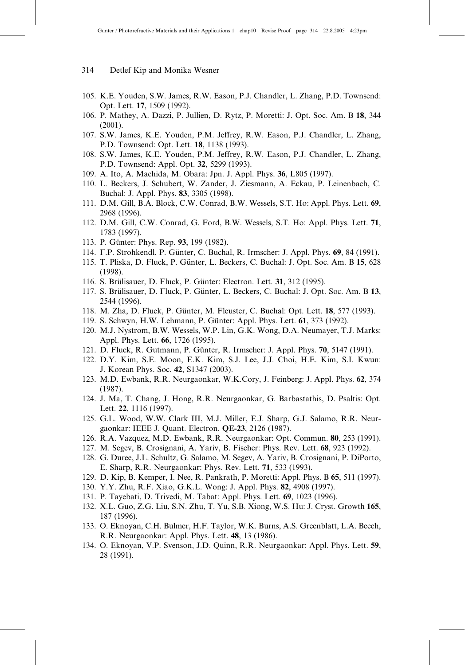- 314 Detlef Kip and Monika Wesner
- 105. K.E. Youden, S.W. James, R.W. Eason, P.J. Chandler, L. Zhang, P.D. Townsend: Opt. Lett. 17, 1509 (1992).
- 106. P. Mathey, A. Dazzi, P. Jullien, D. Rytz, P. Moretti: J. Opt. Soc. Am. B 18, 344 (2001).
- 107. S.W. James, K.E. Youden, P.M. Jeffrey, R.W. Eason, P.J. Chandler, L. Zhang, P.D. Townsend: Opt. Lett. 18, 1138 (1993).
- 108. S.W. James, K.E. Youden, P.M. Jeffrey, R.W. Eason, P.J. Chandler, L. Zhang, P.D. Townsend: Appl. Opt. 32, 5299 (1993).
- 109. A. Ito, A. Machida, M. Obara: Jpn. J. Appl. Phys. 36, L805 (1997).
- 110. L. Beckers, J. Schubert, W. Zander, J. Ziesmann, A. Eckau, P. Leinenbach, C. Buchal: J. Appl. Phys. 83, 3305 (1998).
- 111. D.M. Gill, B.A. Block, C.W. Conrad, B.W. Wessels, S.T. Ho: Appl. Phys. Lett. 69, 2968 (1996).
- 112. D.M. Gill, C.W. Conrad, G. Ford, B.W. Wessels, S.T. Ho: Appl. Phys. Lett. 71, 1783 (1997).
- 113. P. Günter: Phys. Rep. 93, 199 (1982).
- 114. F.P. Strohkendl, P. Günter, C. Buchal, R. Irmscher: J. Appl. Phys. 69, 84 (1991).
- 115. T. Pliska, D. Fluck, P. Günter, L. Beckers, C. Buchal: J. Opt. Soc. Am. B 15, 628 (1998).
- 116. S. Brülisauer, D. Fluck, P. Günter: Electron. Lett. 31, 312 (1995).
- 117. S. Brülisauer, D. Fluck, P. Günter, L. Beckers, C. Buchal: J. Opt. Soc. Am. B 13, 2544 (1996).
- 118. M. Zha, D. Fluck, P. Günter, M. Fleuster, C. Buchal: Opt. Lett. 18, 577 (1993).
- 119. S. Schwyn, H.W. Lehmann, P. Günter: Appl. Phys. Lett. 61, 373 (1992).
- 120. M.J. Nystrom, B.W. Wessels, W.P. Lin, G.K. Wong, D.A. Neumayer, T.J. Marks: Appl. Phys. Lett. **66**, 1726 (1995).
- 121. D. Fluck, R. Gutmann, P. Günter, R. Irmscher: J. Appl. Phys. 70, 5147 (1991).
- 122. D.Y. Kim, S.E. Moon, E.K. Kim, S.J. Lee, J.J. Choi, H.E. Kim, S.I. Kwun: J. Korean Phys. Soc. 42, S1347 (2003).
- 123. M.D. Ewbank, R.R. Neurgaonkar, W.K.Cory, J. Feinberg: J. Appl. Phys. 62, 374 (1987).
- 124. J. Ma, T. Chang, J. Hong, R.R. Neurgaonkar, G. Barbastathis, D. Psaltis: Opt. Lett. 22, 1116 (1997).
- 125. G.L. Wood, W.W. Clark III, M.J. Miller, E.J. Sharp, G.J. Salamo, R.R. Neurgaonkar: IEEE J. Quant. Electron. QE-23, 2126 (1987).
- 126. R.A. Vazquez, M.D. Ewbank, R.R. Neurgaonkar: Opt. Commun. 80, 253 (1991).
- 127. M. Segev, B. Crosignani, A. Yariv, B. Fischer: Phys. Rev. Lett. 68, 923 (1992).
- 128. G. Duree, J.L. Schultz, G. Salamo, M. Segev, A. Yariv, B. Crosignani, P. DiPorto, E. Sharp, R.R. Neurgaonkar: Phys. Rev. Lett. 71, 533 (1993).
- 129. D. Kip, B. Kemper, I. Nee, R. Pankrath, P. Moretti: Appl. Phys. B 65, 511 (1997).
- 130. Y.Y. Zhu, R.F. Xiao, G.K.L. Wong: J. Appl. Phys. 82, 4908 (1997).
- 131. P. Tayebati, D. Trivedi, M. Tabat: Appl. Phys. Lett. 69, 1023 (1996).
- 132. X.L. Guo, Z.G. Liu, S.N. Zhu, T. Yu, S.B. Xiong, W.S. Hu: J. Cryst. Growth 165, 187 (1996).
- 133. O. Eknoyan, C.H. Bulmer, H.F. Taylor, W.K. Burns, A.S. Greenblatt, L.A. Beech, R.R. Neurgaonkar: Appl. Phys. Lett. 48, 13 (1986).
- 134. O. Eknoyan, V.P. Svenson, J.D. Quinn, R.R. Neurgaonkar: Appl. Phys. Lett. 59, 28 (1991).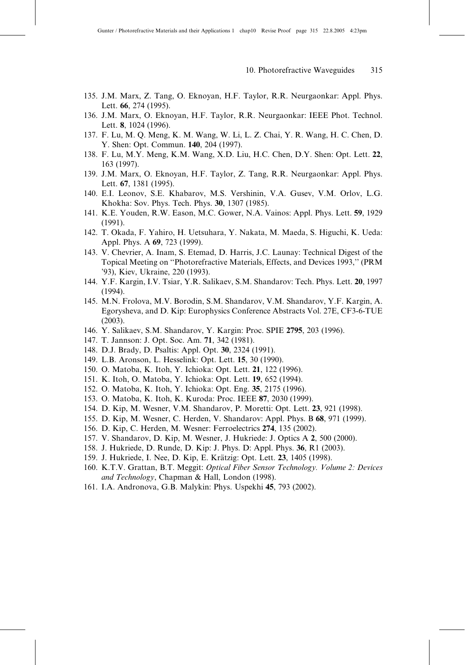- 135. J.M. Marx, Z. Tang, O. Eknoyan, H.F. Taylor, R.R. Neurgaonkar: Appl. Phys. Lett. 66, 274 (1995).
- 136. J.M. Marx, O. Eknoyan, H.F. Taylor, R.R. Neurgaonkar: IEEE Phot. Technol. Lett. 8, 1024 (1996).
- 137. F. Lu, M. Q. Meng, K. M. Wang, W. Li, L. Z. Chai, Y. R. Wang, H. C. Chen, D. Y. Shen: Opt. Commun. 140, 204 (1997).
- 138. F. Lu, M.Y. Meng, K.M. Wang, X.D. Liu, H.C. Chen, D.Y. Shen: Opt. Lett. 22, 163 (1997).
- 139. J.M. Marx, O. Eknoyan, H.F. Taylor, Z. Tang, R.R. Neurgaonkar: Appl. Phys. Lett. 67, 1381 (1995).
- 140. E.I. Leonov, S.E. Khabarov, M.S. Vershinin, V.A. Gusev, V.M. Orlov, L.G. Khokha: Sov. Phys. Tech. Phys. 30, 1307 (1985).
- 141. K.E. Youden, R.W. Eason, M.C. Gower, N.A. Vainos: Appl. Phys. Lett. 59, 1929 (1991).
- 142. T. Okada, F. Yahiro, H. Uetsuhara, Y. Nakata, M. Maeda, S. Higuchi, K. Ueda: Appl. Phys. A 69, 723 (1999).
- 143. V. Chevrier, A. Inam, S. Etemad, D. Harris, J.C. Launay: Technical Digest of the Topical Meeting on ''Photorefractive Materials, Effects, and Devices 1993,'' (PRM '93), Kiev, Ukraine, 220 (1993).
- 144. Y.F. Kargin, I.V. Tsiar, Y.R. Salikaev, S.M. Shandarov: Tech. Phys. Lett. 20, 1997 (1994).
- 145. M.N. Frolova, M.V. Borodin, S.M. Shandarov, V.M. Shandarov, Y.F. Kargin, A. Egorysheva, and D. Kip: Europhysics Conference Abstracts Vol. 27E, CF3-6-TUE (2003).
- 146. Y. Salikaev, S.M. Shandarov, Y. Kargin: Proc. SPIE 2795, 203 (1996).
- 147. T. Jannson: J. Opt. Soc. Am. 71, 342 (1981).
- 148. D.J. Brady, D. Psaltis: Appl. Opt. 30, 2324 (1991).
- 149. L.B. Aronson, L. Hesselink: Opt. Lett. 15, 30 (1990).
- 150. O. Matoba, K. Itoh, Y. Ichioka: Opt. Lett. 21, 122 (1996).
- 151. K. Itoh, O. Matoba, Y. Ichioka: Opt. Lett. 19, 652 (1994).
- 152. O. Matoba, K. Itoh, Y. Ichioka: Opt. Eng. 35, 2175 (1996).
- 153. O. Matoba, K. Itoh, K. Kuroda: Proc. IEEE 87, 2030 (1999).
- 154. D. Kip, M. Wesner, V.M. Shandarov, P. Moretti: Opt. Lett. 23, 921 (1998).
- 155. D. Kip, M. Wesner, C. Herden, V. Shandarov: Appl. Phys. B 68, 971 (1999).
- 156. D. Kip, C. Herden, M. Wesner: Ferroelectrics 274, 135 (2002).
- 157. V. Shandarov, D. Kip, M. Wesner, J. Hukriede: J. Optics A 2, 500 (2000).
- 158. J. Hukriede, D. Runde, D. Kip: J. Phys. D: Appl. Phys. 36, R1 (2003).
- 159. J. Hukriede, I. Nee, D. Kip, E. Krätzig: Opt. Lett. 23, 1405 (1998).
- 160. K.T.V. Grattan, B.T. Meggit: Optical Fiber Sensor Technology. Volume 2: Devices and Technology, Chapman & Hall, London (1998).
- 161. I.A. Andronova, G.B. Malykin: Phys. Uspekhi 45, 793 (2002).